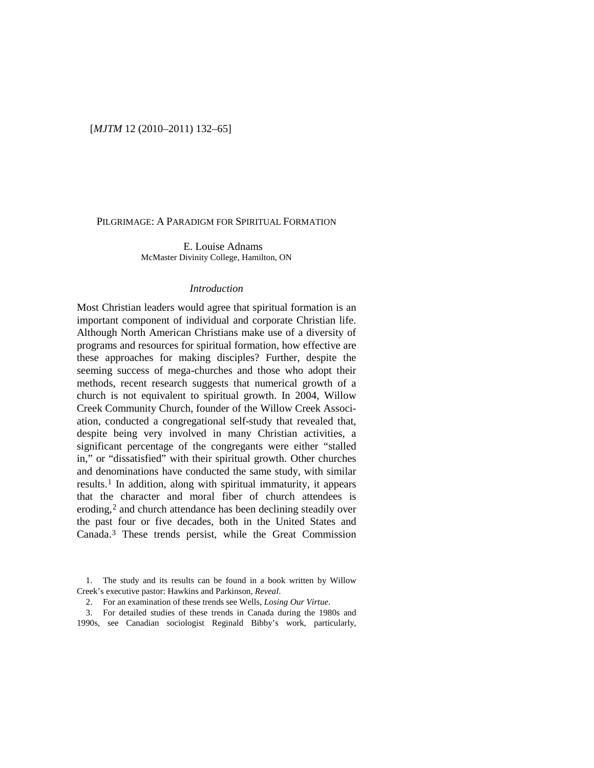## [*MJTM* 12 (2010–2011) 132–65]

#### PILGRIMAGE: A PARADIGM FOR SPIRITUAL FORMATION

E. Louise Adnams McMaster Divinity College, Hamilton, ON

# *Introduction*

Most Christian leaders would agree that spiritual formation is an important component of individual and corporate Christian life. Although North American Christians make use of a diversity of programs and resources for spiritual formation, how effective are these approaches for making disciples? Further, despite the seeming success of mega-churches and those who adopt their methods, recent research suggests that numerical growth of a church is not equivalent to spiritual growth. In 2004, Willow Creek Community Church, founder of the Willow Creek Association, conducted a congregational self-study that revealed that, despite being very involved in many Christian activities, a significant percentage of the congregants were either "stalled in," or "dissatisfied" with their spiritual growth. Other churches and denominations have conducted the same study, with similar results.[1](#page-0-0) In addition, along with spiritual immaturity, it appears that the character and moral fiber of church attendees is eroding,<sup>[2](#page-0-1)</sup> and church attendance has been declining steadily over the past four or five decades, both in the United States and Canada[.3](#page-0-2) These trends persist, while the Great Commission

<span id="page-0-1"></span><span id="page-0-0"></span>1. The study and its results can be found in a book written by Willow Creek's executive pastor: Hawkins and Parkinson, *Reveal*.

2. For an examination of these trends see Wells, *Losing Our Virtue*.

<span id="page-0-2"></span>3. For detailed studies of these trends in Canada during the 1980s and 1990s, see Canadian sociologist Reginald Bibby's work, particularly,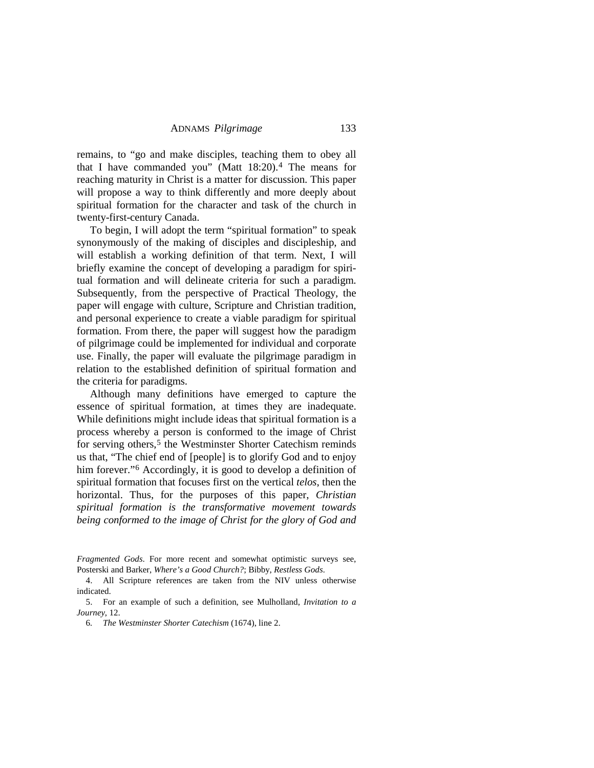remains, to "go and make disciples, teaching them to obey all that I have commanded you" (Matt 18:20).[4](#page-1-0) The means for reaching maturity in Christ is a matter for discussion. This paper will propose a way to think differently and more deeply about spiritual formation for the character and task of the church in twenty-first-century Canada.

To begin, I will adopt the term "spiritual formation" to speak synonymously of the making of disciples and discipleship, and will establish a working definition of that term. Next, I will briefly examine the concept of developing a paradigm for spiritual formation and will delineate criteria for such a paradigm. Subsequently, from the perspective of Practical Theology, the paper will engage with culture, Scripture and Christian tradition, and personal experience to create a viable paradigm for spiritual formation. From there, the paper will suggest how the paradigm of pilgrimage could be implemented for individual and corporate use. Finally, the paper will evaluate the pilgrimage paradigm in relation to the established definition of spiritual formation and the criteria for paradigms.

Although many definitions have emerged to capture the essence of spiritual formation, at times they are inadequate. While definitions might include ideas that spiritual formation is a process whereby a person is conformed to the image of Christ for serving others,<sup>[5](#page-1-1)</sup> the Westminster Shorter Catechism reminds us that, "The chief end of [people] is to glorify God and to enjoy him forever."<sup>[6](#page-1-2)</sup> Accordingly, it is good to develop a definition of spiritual formation that focuses first on the vertical *telos*, then the horizontal. Thus, for the purposes of this paper, *Christian spiritual formation is the transformative movement towards being conformed to the image of Christ for the glory of God and* 

*Fragmented Gods*. For more recent and somewhat optimistic surveys see, Posterski and Barker, *Where's a Good Church?*; Bibby, *Restless Gods*.

<span id="page-1-0"></span><sup>4.</sup> All Scripture references are taken from the NIV unless otherwise indicated.

<span id="page-1-2"></span><span id="page-1-1"></span><sup>5.</sup> For an example of such a definition, see Mulholland, *Invitation to a Journey*, 12.

<sup>6</sup>*. The Westminster Shorter Catechism* (1674), line 2.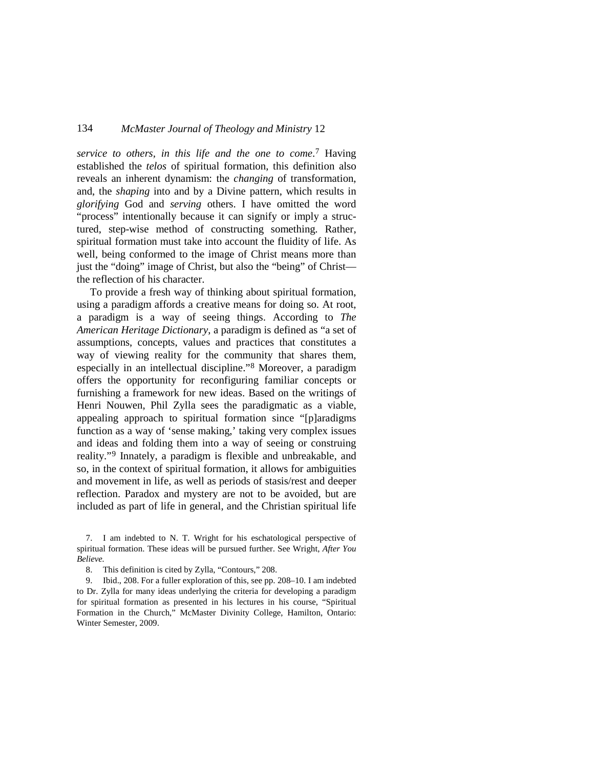*service to others, in this life and the one to come*.[7](#page-2-0) Having established the *telos* of spiritual formation, this definition also reveals an inherent dynamism: the *changing* of transformation, and, the *shaping* into and by a Divine pattern, which results in *glorifying* God and *serving* others. I have omitted the word "process" intentionally because it can signify or imply a structured, step-wise method of constructing something. Rather, spiritual formation must take into account the fluidity of life. As well, being conformed to the image of Christ means more than just the "doing" image of Christ, but also the "being" of Christ the reflection of his character.

To provide a fresh way of thinking about spiritual formation, using a paradigm affords a creative means for doing so. At root, a paradigm is a way of seeing things. According to *The American Heritage Dictionary*, a paradigm is defined as "a set of assumptions, concepts, values and practices that constitutes a way of viewing reality for the community that shares them, especially in an intellectual discipline." [8](#page-2-1) Moreover, a paradigm offers the opportunity for reconfiguring familiar concepts or furnishing a framework for new ideas. Based on the writings of Henri Nouwen, Phil Zylla sees the paradigmatic as a viable, appealing approach to spiritual formation since "[p]aradigms function as a way of 'sense making,' taking very complex issues and ideas and folding them into a way of seeing or construing reality."[9](#page-2-2) Innately, a paradigm is flexible and unbreakable, and so, in the context of spiritual formation, it allows for ambiguities and movement in life, as well as periods of stasis/rest and deeper reflection. Paradox and mystery are not to be avoided, but are included as part of life in general, and the Christian spiritual life

<span id="page-2-0"></span><sup>7.</sup> I am indebted to N. T. Wright for his eschatological perspective of spiritual formation. These ideas will be pursued further. See Wright, *After You Believe.*

<sup>8.</sup> This definition is cited by Zylla, "Contours," 208.

<span id="page-2-2"></span><span id="page-2-1"></span><sup>9.</sup> Ibid., 208. For a fuller exploration of this, see pp. 208–10. I am indebted to Dr. Zylla for many ideas underlying the criteria for developing a paradigm for spiritual formation as presented in his lectures in his course, "Spiritual Formation in the Church," McMaster Divinity College, Hamilton, Ontario: Winter Semester, 2009.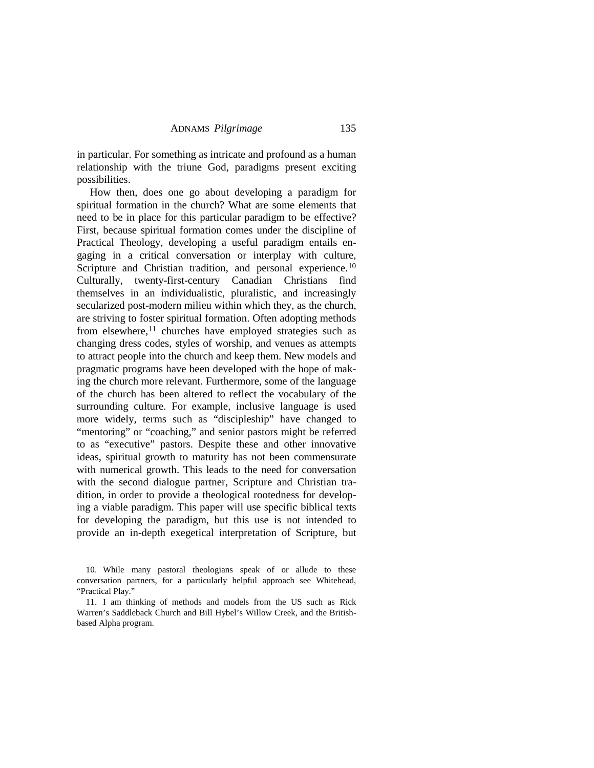in particular. For something as intricate and profound as a human relationship with the triune God, paradigms present exciting possibilities.

How then, does one go about developing a paradigm for spiritual formation in the church? What are some elements that need to be in place for this particular paradigm to be effective? First, because spiritual formation comes under the discipline of Practical Theology, developing a useful paradigm entails engaging in a critical conversation or interplay with culture, Scripture and Christian tradition, and personal experience.<sup>[10](#page-3-0)</sup> Culturally, twenty-first-century Canadian Christians find themselves in an individualistic, pluralistic, and increasingly secularized post-modern milieu within which they, as the church, are striving to foster spiritual formation. Often adopting methods from elsewhere,<sup>[11](#page-3-1)</sup> churches have employed strategies such as changing dress codes, styles of worship, and venues as attempts to attract people into the church and keep them. New models and pragmatic programs have been developed with the hope of making the church more relevant. Furthermore, some of the language of the church has been altered to reflect the vocabulary of the surrounding culture. For example, inclusive language is used more widely, terms such as "discipleship" have changed to "mentoring" or "coaching," and senior pastors might be referred to as "executive" pastors. Despite these and other innovative ideas, spiritual growth to maturity has not been commensurate with numerical growth. This leads to the need for conversation with the second dialogue partner, Scripture and Christian tradition, in order to provide a theological rootedness for developing a viable paradigm. This paper will use specific biblical texts for developing the paradigm, but this use is not intended to provide an in-depth exegetical interpretation of Scripture, but

<span id="page-3-0"></span><sup>10.</sup> While many pastoral theologians speak of or allude to these conversation partners, for a particularly helpful approach see Whitehead, "Practical Play."

<span id="page-3-1"></span><sup>11.</sup> I am thinking of methods and models from the US such as Rick Warren's Saddleback Church and Bill Hybel's Willow Creek, and the Britishbased Alpha program.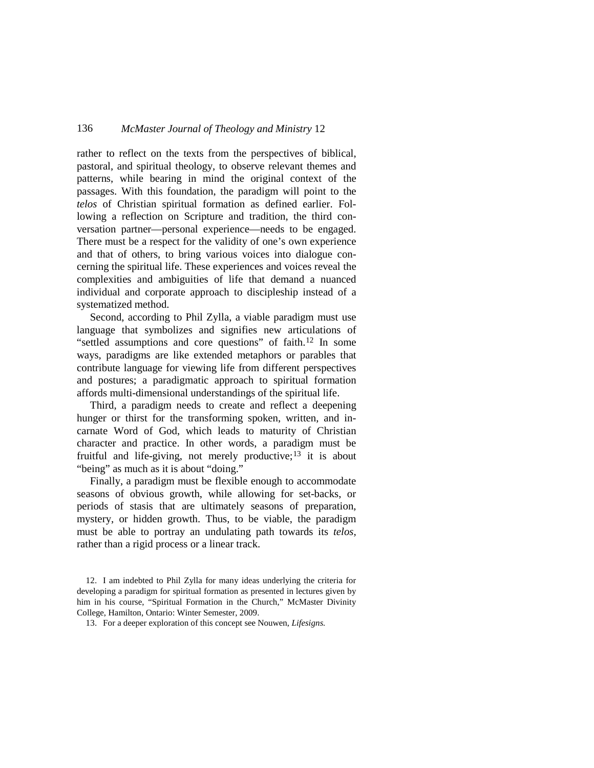rather to reflect on the texts from the perspectives of biblical, pastoral, and spiritual theology, to observe relevant themes and patterns, while bearing in mind the original context of the passages. With this foundation, the paradigm will point to the *telos* of Christian spiritual formation as defined earlier. Following a reflection on Scripture and tradition, the third conversation partner—personal experience—needs to be engaged. There must be a respect for the validity of one's own experience and that of others, to bring various voices into dialogue concerning the spiritual life. These experiences and voices reveal the complexities and ambiguities of life that demand a nuanced individual and corporate approach to discipleship instead of a systematized method.

Second, according to Phil Zylla, a viable paradigm must use language that symbolizes and signifies new articulations of "settled assumptions and core questions" of faith.<sup>12</sup> In some ways, paradigms are like extended metaphors or parables that contribute language for viewing life from different perspectives and postures; a paradigmatic approach to spiritual formation affords multi-dimensional understandings of the spiritual life.

Third, a paradigm needs to create and reflect a deepening hunger or thirst for the transforming spoken, written, and incarnate Word of God, which leads to maturity of Christian character and practice. In other words, a paradigm must be fruitful and life-giving, not merely productive;<sup>[13](#page-4-1)</sup> it is about "being" as much as it is about "doing."

Finally, a paradigm must be flexible enough to accommodate seasons of obvious growth, while allowing for set-backs, or periods of stasis that are ultimately seasons of preparation, mystery, or hidden growth. Thus, to be viable, the paradigm must be able to portray an undulating path towards its *telos,*  rather than a rigid process or a linear track.

<span id="page-4-0"></span><sup>12.</sup> I am indebted to Phil Zylla for many ideas underlying the criteria for developing a paradigm for spiritual formation as presented in lectures given by him in his course, "Spiritual Formation in the Church," McMaster Divinity College, Hamilton, Ontario: Winter Semester, 2009.

<span id="page-4-1"></span><sup>13.</sup> For a deeper exploration of this concept see Nouwen, *Lifesigns.*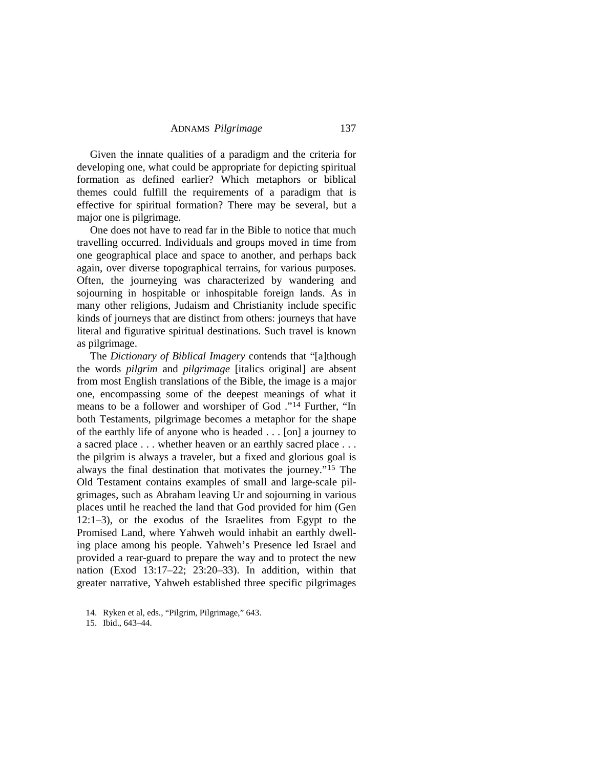Given the innate qualities of a paradigm and the criteria for developing one, what could be appropriate for depicting spiritual formation as defined earlier? Which metaphors or biblical themes could fulfill the requirements of a paradigm that is effective for spiritual formation? There may be several, but a major one is pilgrimage.

One does not have to read far in the Bible to notice that much travelling occurred. Individuals and groups moved in time from one geographical place and space to another, and perhaps back again, over diverse topographical terrains, for various purposes. Often, the journeying was characterized by wandering and sojourning in hospitable or inhospitable foreign lands. As in many other religions, Judaism and Christianity include specific kinds of journeys that are distinct from others: journeys that have literal and figurative spiritual destinations. Such travel is known as pilgrimage.

The *Dictionary of Biblical Imagery* contends that "[a]though the words *pilgrim* and *pilgrimage* [italics original] are absent from most English translations of the Bible, the image is a major one, encompassing some of the deepest meanings of what it means to be a follower and worshiper of God ."[14](#page-5-0) Further, "In both Testaments, pilgrimage becomes a metaphor for the shape of the earthly life of anyone who is headed . . . [on] a journey to a sacred place . . . whether heaven or an earthly sacred place . . . the pilgrim is always a traveler, but a fixed and glorious goal is always the final destination that motivates the journey."[15](#page-5-1) The Old Testament contains examples of small and large-scale pilgrimages, such as Abraham leaving Ur and sojourning in various places until he reached the land that God provided for him (Gen 12:1–3), or the exodus of the Israelites from Egypt to the Promised Land, where Yahweh would inhabit an earthly dwelling place among his people. Yahweh's Presence led Israel and provided a rear-guard to prepare the way and to protect the new nation (Exod 13:17–22; 23:20–33). In addition, within that greater narrative, Yahweh established three specific pilgrimages

<span id="page-5-0"></span><sup>14.</sup> Ryken et al, eds., "Pilgrim, Pilgrimage," 643.

<span id="page-5-1"></span><sup>15.</sup> Ibid., 643–44.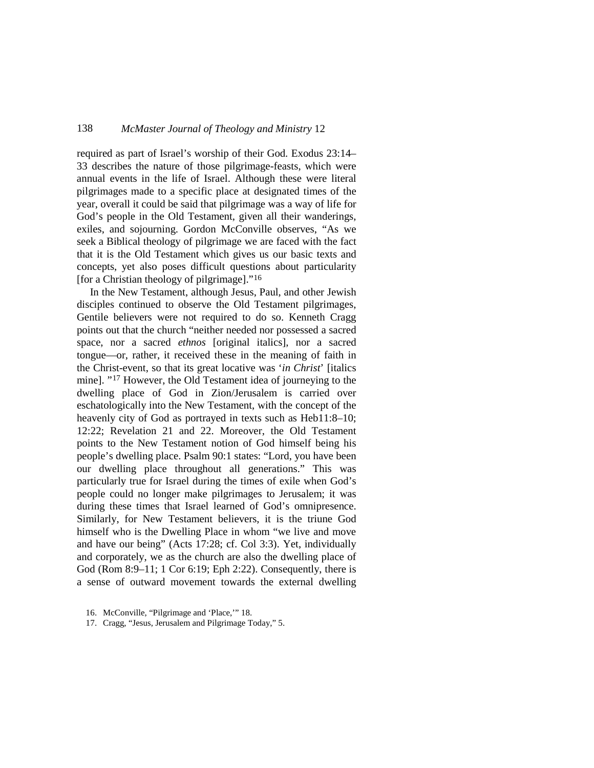required as part of Israel's worship of their God. Exodus 23:14– 33 describes the nature of those pilgrimage-feasts, which were annual events in the life of Israel. Although these were literal pilgrimages made to a specific place at designated times of the year, overall it could be said that pilgrimage was a way of life for God's people in the Old Testament, given all their wanderings, exiles, and sojourning. Gordon McConville observes, "As we seek a Biblical theology of pilgrimage we are faced with the fact that it is the Old Testament which gives us our basic texts and concepts, yet also poses difficult questions about particularity [for a Christian theology of pilgrimage]."[16](#page-6-0)

In the New Testament, although Jesus, Paul, and other Jewish disciples continued to observe the Old Testament pilgrimages, Gentile believers were not required to do so. Kenneth Cragg points out that the church "neither needed nor possessed a sacred space, nor a sacred *ethnos* [original italics], nor a sacred tongue—or, rather, it received these in the meaning of faith in the Christ-event, so that its great locative was '*in Christ*' [italics mine]. "[17](#page-6-1) However, the Old Testament idea of journeying to the dwelling place of God in Zion/Jerusalem is carried over eschatologically into the New Testament, with the concept of the heavenly city of God as portrayed in texts such as Heb11:8–10; 12:22; Revelation 21 and 22. Moreover, the Old Testament points to the New Testament notion of God himself being his people's dwelling place. Psalm 90:1 states: "Lord, you have been our dwelling place throughout all generations." This was particularly true for Israel during the times of exile when God's people could no longer make pilgrimages to Jerusalem; it was during these times that Israel learned of God's omnipresence. Similarly, for New Testament believers, it is the triune God himself who is the Dwelling Place in whom "we live and move and have our being" (Acts 17:28; cf. Col 3:3). Yet, individually and corporately, we as the church are also the dwelling place of God (Rom 8:9–11; 1 Cor 6:19; Eph 2:22). Consequently, there is a sense of outward movement towards the external dwelling

<span id="page-6-0"></span><sup>16.</sup> McConville, "Pilgrimage and 'Place,'" 18.

<span id="page-6-1"></span><sup>17.</sup> Cragg, "Jesus, Jerusalem and Pilgrimage Today," 5.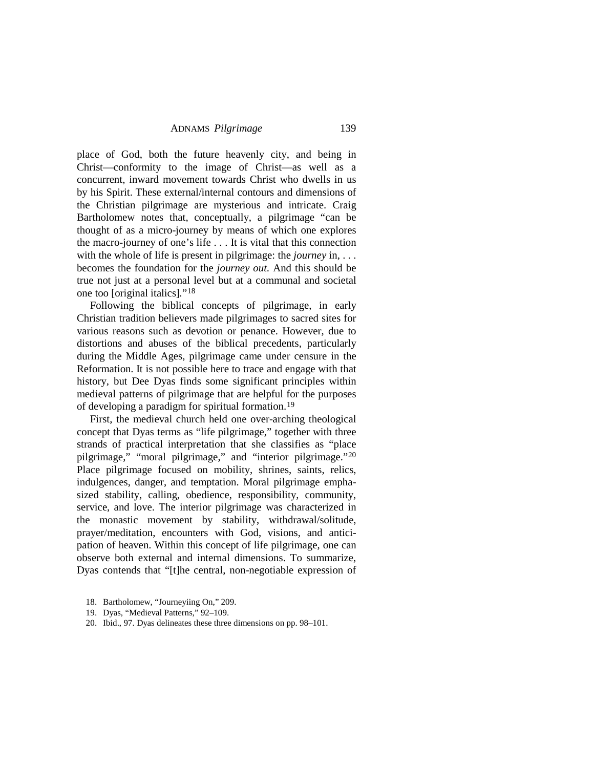place of God, both the future heavenly city, and being in Christ—conformity to the image of Christ—as well as a concurrent, inward movement towards Christ who dwells in us by his Spirit. These external/internal contours and dimensions of the Christian pilgrimage are mysterious and intricate. Craig Bartholomew notes that, conceptually, a pilgrimage "can be thought of as a micro-journey by means of which one explores the macro-journey of one's life . . . It is vital that this connection with the whole of life is present in pilgrimage: the *journey* in, . . . becomes the foundation for the *journey out.* And this should be true not just at a personal level but at a communal and societal one too [original italics]*.*"[18](#page-7-0)

Following the biblical concepts of pilgrimage, in early Christian tradition believers made pilgrimages to sacred sites for various reasons such as devotion or penance. However, due to distortions and abuses of the biblical precedents, particularly during the Middle Ages, pilgrimage came under censure in the Reformation. It is not possible here to trace and engage with that history, but Dee Dyas finds some significant principles within medieval patterns of pilgrimage that are helpful for the purposes of developing a paradigm for spiritual formation.[19](#page-7-1)

First, the medieval church held one over-arching theological concept that Dyas terms as "life pilgrimage," together with three strands of practical interpretation that she classifies as "place pilgrimage," "moral pilgrimage," and "interior pilgrimage."[20](#page-7-2) Place pilgrimage focused on mobility, shrines, saints, relics, indulgences, danger, and temptation. Moral pilgrimage emphasized stability, calling, obedience, responsibility, community, service, and love. The interior pilgrimage was characterized in the monastic movement by stability, withdrawal/solitude, prayer/meditation, encounters with God, visions, and anticipation of heaven. Within this concept of life pilgrimage, one can observe both external and internal dimensions. To summarize, Dyas contends that "[t]he central, non-negotiable expression of

- <span id="page-7-0"></span>18. Bartholomew, "Journeyiing On," 209.
- 19. Dyas, "Medieval Patterns," 92–109.
- <span id="page-7-2"></span><span id="page-7-1"></span>20. Ibid., 97. Dyas delineates these three dimensions on pp. 98–101.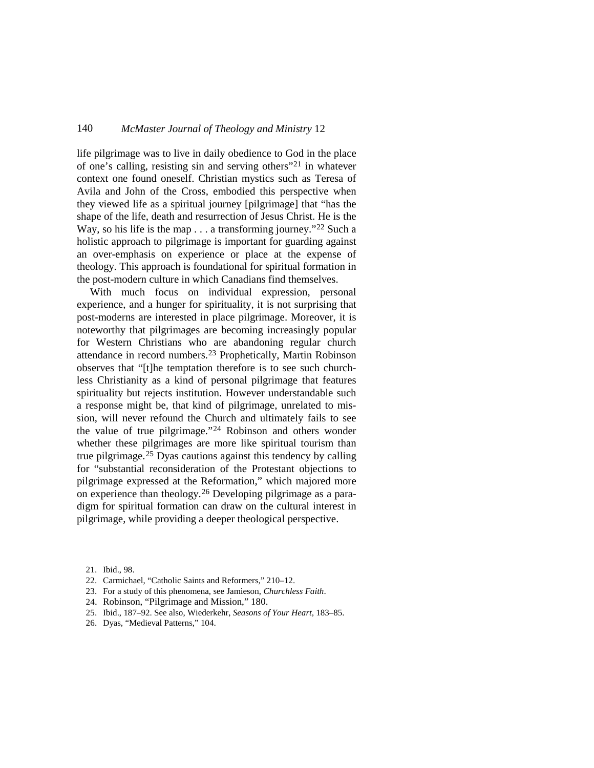life pilgrimage was to live in daily obedience to God in the place of one's calling, resisting sin and serving others"[21](#page-8-0) in whatever context one found oneself. Christian mystics such as Teresa of Avila and John of the Cross, embodied this perspective when they viewed life as a spiritual journey [pilgrimage] that "has the shape of the life, death and resurrection of Jesus Christ. He is the Way, so his life is the map . . . a transforming journey."<sup>[22](#page-8-1)</sup> Such a holistic approach to pilgrimage is important for guarding against an over-emphasis on experience or place at the expense of theology. This approach is foundational for spiritual formation in the post-modern culture in which Canadians find themselves.

With much focus on individual expression, personal experience, and a hunger for spirituality, it is not surprising that post-moderns are interested in place pilgrimage. Moreover, it is noteworthy that pilgrimages are becoming increasingly popular for Western Christians who are abandoning regular church attendance in record numbers. [23](#page-8-2) Prophetically, Martin Robinson observes that "[t]he temptation therefore is to see such churchless Christianity as a kind of personal pilgrimage that features spirituality but rejects institution. However understandable such a response might be, that kind of pilgrimage, unrelated to mission, will never refound the Church and ultimately fails to see the value of true pilgrimage."[24](#page-8-3) Robinson and others wonder whether these pilgrimages are more like spiritual tourism than true pilgrimage.[25](#page-8-4) Dyas cautions against this tendency by calling for "substantial reconsideration of the Protestant objections to pilgrimage expressed at the Reformation," which majored more on experience than theology.[26](#page-8-5) Developing pilgrimage as a paradigm for spiritual formation can draw on the cultural interest in pilgrimage, while providing a deeper theological perspective.

- <span id="page-8-1"></span>22. Carmichael, "Catholic Saints and Reformers," 210–12.
- <span id="page-8-2"></span>23. For a study of this phenomena, see Jamieson, *Churchless Faith*.
- <span id="page-8-3"></span>24. Robinson, "Pilgrimage and Mission," 180.
- <span id="page-8-4"></span>25. Ibid., 187–92. See also, Wiederkehr, *Seasons of Your Heart,* 183–85.
- <span id="page-8-5"></span>26. Dyas, "Medieval Patterns," 104.

<span id="page-8-0"></span><sup>21.</sup> Ibid., 98.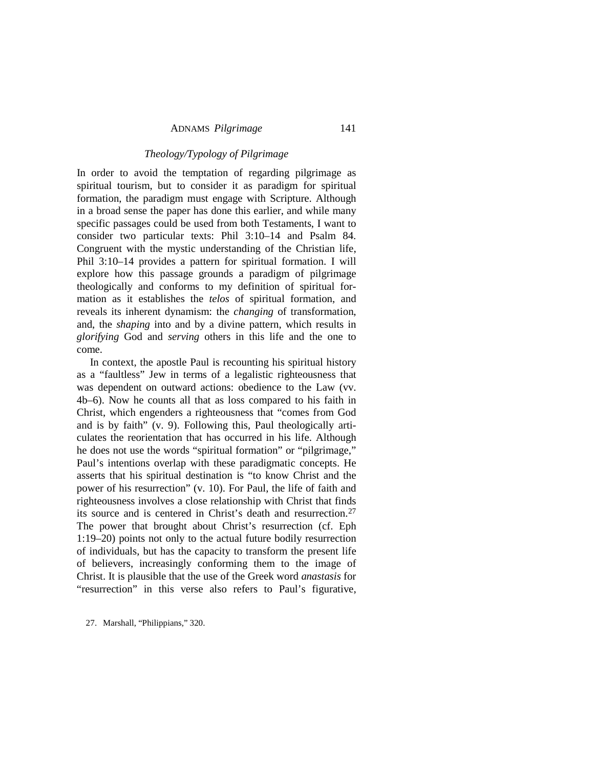## *Theology/Typology of Pilgrimage*

In order to avoid the temptation of regarding pilgrimage as spiritual tourism, but to consider it as paradigm for spiritual formation, the paradigm must engage with Scripture. Although in a broad sense the paper has done this earlier, and while many specific passages could be used from both Testaments, I want to consider two particular texts: Phil 3:10–14 and Psalm 84. Congruent with the mystic understanding of the Christian life, Phil 3:10–14 provides a pattern for spiritual formation. I will explore how this passage grounds a paradigm of pilgrimage theologically and conforms to my definition of spiritual formation as it establishes the *telos* of spiritual formation, and reveals its inherent dynamism: the *changing* of transformation, and, the *shaping* into and by a divine pattern, which results in *glorifying* God and *serving* others in this life and the one to come.

In context, the apostle Paul is recounting his spiritual history as a "faultless" Jew in terms of a legalistic righteousness that was dependent on outward actions: obedience to the Law (vv. 4b–6). Now he counts all that as loss compared to his faith in Christ, which engenders a righteousness that "comes from God and is by faith" (v. 9). Following this, Paul theologically articulates the reorientation that has occurred in his life. Although he does not use the words "spiritual formation" or "pilgrimage," Paul's intentions overlap with these paradigmatic concepts. He asserts that his spiritual destination is "to know Christ and the power of his resurrection" (v. 10). For Paul, the life of faith and righteousness involves a close relationship with Christ that finds its source and is centered in Christ's death and resurrection.[27](#page-9-0) The power that brought about Christ's resurrection (cf. Eph 1:19–20) points not only to the actual future bodily resurrection of individuals, but has the capacity to transform the present life of believers, increasingly conforming them to the image of Christ. It is plausible that the use of the Greek word *anastasis* for "resurrection" in this verse also refers to Paul's figurative,

<span id="page-9-0"></span>27. Marshall, "Philippians," 320.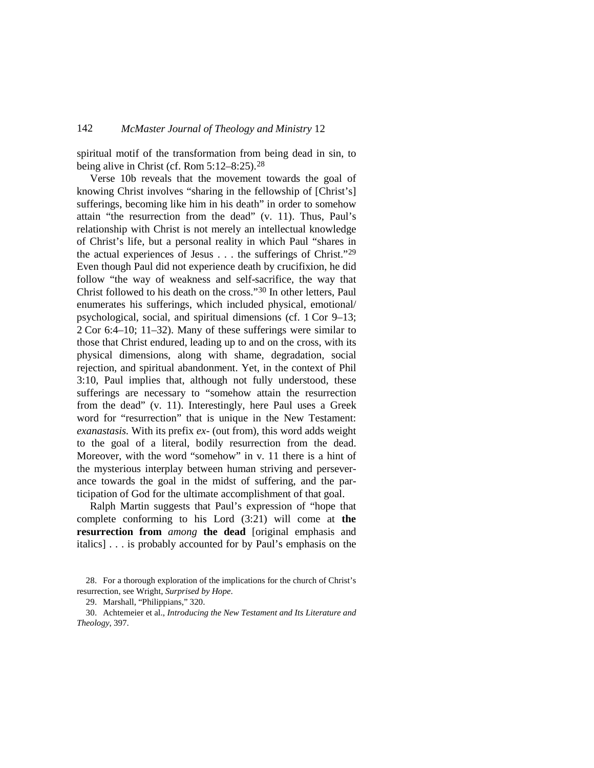spiritual motif of the transformation from being dead in sin, to being alive in Christ (cf. Rom 5:12–8:25).[28](#page-10-0)

Verse 10b reveals that the movement towards the goal of knowing Christ involves "sharing in the fellowship of [Christ's] sufferings, becoming like him in his death" in order to somehow attain "the resurrection from the dead" (v. 11). Thus, Paul's relationship with Christ is not merely an intellectual knowledge of Christ's life, but a personal reality in which Paul "shares in the actual experiences of Jesus . . . the sufferings of Christ."[29](#page-10-1) Even though Paul did not experience death by crucifixion, he did follow "the way of weakness and self-sacrifice, the way that Christ followed to his death on the cross.["30](#page-10-2) In other letters, Paul enumerates his sufferings, which included physical, emotional/ psychological, social, and spiritual dimensions (cf. 1 Cor 9–13; 2 Cor 6:4–10; 11–32). Many of these sufferings were similar to those that Christ endured, leading up to and on the cross, with its physical dimensions, along with shame, degradation, social rejection, and spiritual abandonment. Yet, in the context of Phil 3:10, Paul implies that, although not fully understood, these sufferings are necessary to "somehow attain the resurrection from the dead" (v. 11). Interestingly, here Paul uses a Greek word for "resurrection" that is unique in the New Testament: *exanastasis.* With its prefix *ex-* (out from), this word adds weight to the goal of a literal, bodily resurrection from the dead. Moreover, with the word "somehow" in v. 11 there is a hint of the mysterious interplay between human striving and perseverance towards the goal in the midst of suffering, and the participation of God for the ultimate accomplishment of that goal.

Ralph Martin suggests that Paul's expression of "hope that complete conforming to his Lord (3:21) will come at **the resurrection from** *among* **the dead** [original emphasis and italics] . . . is probably accounted for by Paul's emphasis on the

<span id="page-10-0"></span><sup>28.</sup> For a thorough exploration of the implications for the church of Christ's resurrection, see Wright, *Surprised by Hope*.

<sup>29.</sup> Marshall, "Philippians," 320.

<span id="page-10-2"></span><span id="page-10-1"></span><sup>30.</sup> Achtemeier et al., *Introducing the New Testament and Its Literature and Theology*, 397.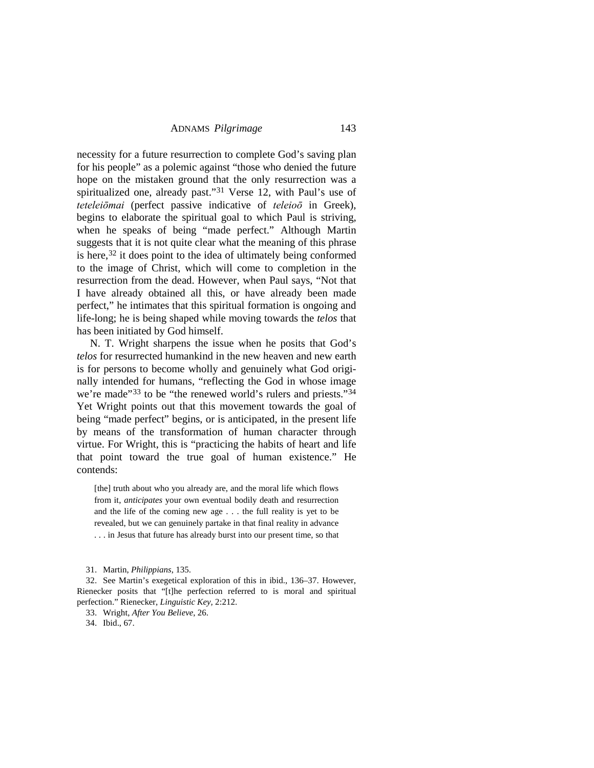necessity for a future resurrection to complete God's saving plan for his people" as a polemic against "those who denied the future hope on the mistaken ground that the only resurrection was a spiritualized one, already past."[31](#page-11-0) Verse 12, with Paul's use of *teteleiōmai* (perfect passive indicative of *teleioō* in Greek), begins to elaborate the spiritual goal to which Paul is striving, when he speaks of being "made perfect." Although Martin suggests that it is not quite clear what the meaning of this phrase is here, $32$  it does point to the idea of ultimately being conformed to the image of Christ, which will come to completion in the resurrection from the dead. However, when Paul says, "Not that I have already obtained all this, or have already been made perfect," he intimates that this spiritual formation is ongoing and life-long; he is being shaped while moving towards the *telos* that has been initiated by God himself.

N. T. Wright sharpens the issue when he posits that God's *telos* for resurrected humankind in the new heaven and new earth is for persons to become wholly and genuinely what God originally intended for humans, "reflecting the God in whose image we're made"<sup>[33](#page-11-2)</sup> to be "the renewed world's rulers and priests."<sup>[34](#page-11-3)</sup> Yet Wright points out that this movement towards the goal of being "made perfect" begins, or is anticipated, in the present life by means of the transformation of human character through virtue. For Wright, this is "practicing the habits of heart and life that point toward the true goal of human existence." He contends:

[the] truth about who you already are, and the moral life which flows from it, *anticipates* your own eventual bodily death and resurrection and the life of the coming new age . . . the full reality is yet to be revealed, but we can genuinely partake in that final reality in advance . . . in Jesus that future has already burst into our present time, so that

31. Martin, *Philippians*, 135.

<span id="page-11-2"></span><span id="page-11-1"></span><span id="page-11-0"></span>32. See Martin's exegetical exploration of this in ibid., 136–37. However, Rienecker posits that "[t]he perfection referred to is moral and spiritual perfection." Rienecker, *Linguistic Key,* 2:212.

33. Wright, *After You Believe*, 26.

<span id="page-11-3"></span>34. Ibid., 67.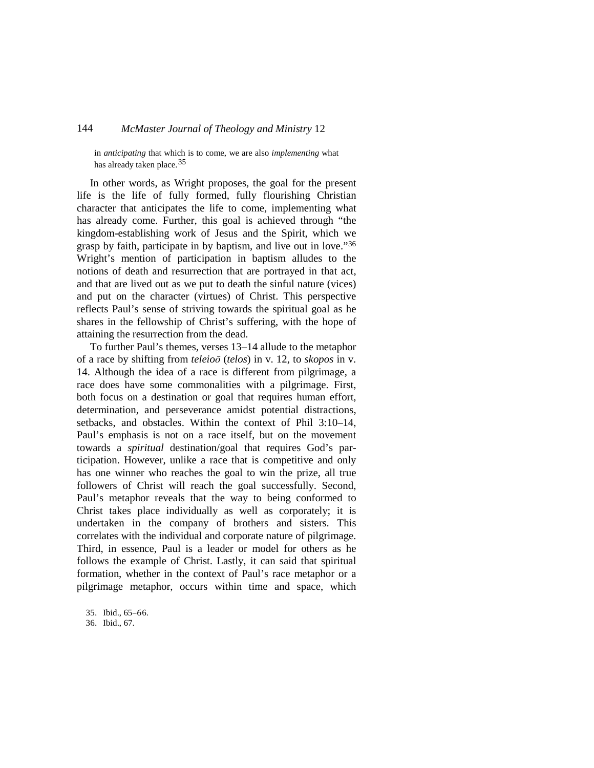in *anticipating* that which is to come, we are also *implementing* what has already taken place.<sup>[35](#page-12-0)</sup>

In other words, as Wright proposes, the goal for the present life is the life of fully formed, fully flourishing Christian character that anticipates the life to come, implementing what has already come. Further, this goal is achieved through "the kingdom-establishing work of Jesus and the Spirit, which we grasp by faith, participate in by baptism, and live out in love."[36](#page-12-1) Wright's mention of participation in baptism alludes to the notions of death and resurrection that are portrayed in that act, and that are lived out as we put to death the sinful nature (vices) and put on the character (virtues) of Christ. This perspective reflects Paul's sense of striving towards the spiritual goal as he shares in the fellowship of Christ's suffering, with the hope of attaining the resurrection from the dead.

To further Paul's themes, verses 13–14 allude to the metaphor of a race by shifting from *teleioō* (*telos*) in v. 12, to *skopos* in v. 14. Although the idea of a race is different from pilgrimage, a race does have some commonalities with a pilgrimage. First, both focus on a destination or goal that requires human effort, determination, and perseverance amidst potential distractions, setbacks, and obstacles. Within the context of Phil 3:10–14, Paul's emphasis is not on a race itself, but on the movement towards a *spiritual* destination/goal that requires God's participation. However, unlike a race that is competitive and only has one winner who reaches the goal to win the prize, all true followers of Christ will reach the goal successfully. Second, Paul's metaphor reveals that the way to being conformed to Christ takes place individually as well as corporately; it is undertaken in the company of brothers and sisters. This correlates with the individual and corporate nature of pilgrimage. Third, in essence, Paul is a leader or model for others as he follows the example of Christ. Lastly, it can said that spiritual formation, whether in the context of Paul's race metaphor or a pilgrimage metaphor, occurs within time and space, which

<span id="page-12-0"></span>35. Ibid., 65‒66.

<span id="page-12-1"></span><sup>36.</sup> Ibid., 67.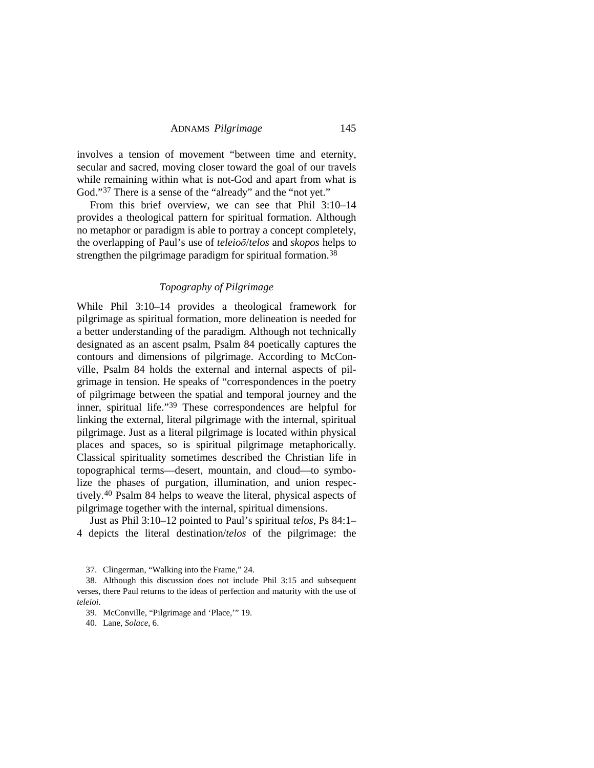involves a tension of movement "between time and eternity, secular and sacred, moving closer toward the goal of our travels while remaining within what is not-God and apart from what is God."<sup>[37](#page-13-0)</sup> There is a sense of the "already" and the "not yet."

From this brief overview, we can see that Phil 3:10–14 provides a theological pattern for spiritual formation. Although no metaphor or paradigm is able to portray a concept completely, the overlapping of Paul's use of *teleioō*/*telos* and *skopos* helps to strengthen the pilgrimage paradigm for spiritual formation.<sup>[38](#page-13-1)</sup>

# *Topography of Pilgrimage*

While Phil 3:10–14 provides a theological framework for pilgrimage as spiritual formation, more delineation is needed for a better understanding of the paradigm. Although not technically designated as an ascent psalm, Psalm 84 poetically captures the contours and dimensions of pilgrimage. According to McConville, Psalm 84 holds the external and internal aspects of pilgrimage in tension. He speaks of "correspondences in the poetry of pilgrimage between the spatial and temporal journey and the inner, spiritual life.["39](#page-13-2) These correspondences are helpful for linking the external, literal pilgrimage with the internal, spiritual pilgrimage. Just as a literal pilgrimage is located within physical places and spaces, so is spiritual pilgrimage metaphorically. Classical spirituality sometimes described the Christian life in topographical terms—desert, mountain, and cloud—to symbolize the phases of purgation, illumination, and union respectively.[40](#page-13-3) Psalm 84 helps to weave the literal, physical aspects of pilgrimage together with the internal, spiritual dimensions.

Just as Phil 3:10–12 pointed to Paul's spiritual *telos*, Ps 84:1– 4 depicts the literal destination/*telos* of the pilgrimage: the

<sup>37.</sup> Clingerman, "Walking into the Frame," 24.

<span id="page-13-2"></span><span id="page-13-1"></span><span id="page-13-0"></span><sup>38.</sup> Although this discussion does not include Phil 3:15 and subsequent verses, there Paul returns to the ideas of perfection and maturity with the use of *teleioi.*

<sup>39.</sup> McConville, "Pilgrimage and 'Place,'" 19.

<span id="page-13-3"></span><sup>40.</sup> Lane, *Solace*, 6.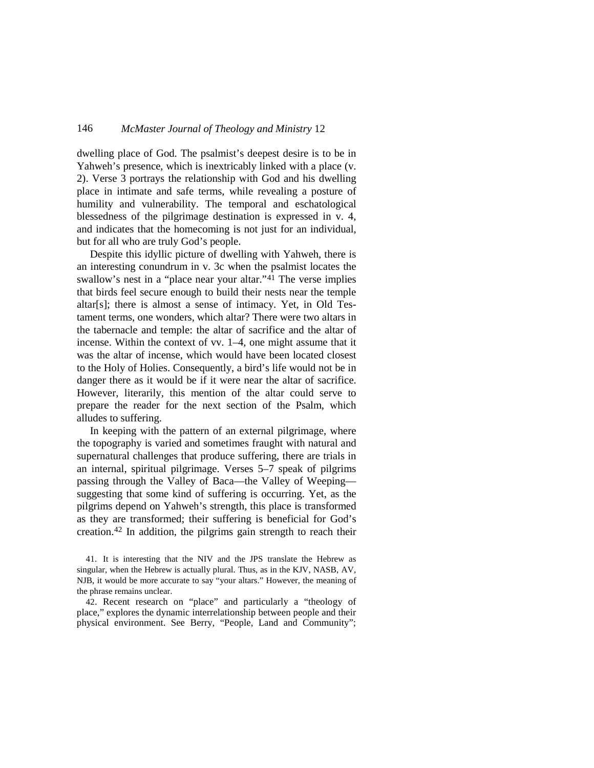dwelling place of God. The psalmist's deepest desire is to be in Yahweh's presence, which is inextricably linked with a place (v. 2). Verse 3 portrays the relationship with God and his dwelling place in intimate and safe terms, while revealing a posture of humility and vulnerability. The temporal and eschatological blessedness of the pilgrimage destination is expressed in v. 4, and indicates that the homecoming is not just for an individual, but for all who are truly God's people.

Despite this idyllic picture of dwelling with Yahweh, there is an interesting conundrum in v. 3c when the psalmist locates the swallow's nest in a "place near your altar."<sup>[41](#page-14-0)</sup> The verse implies that birds feel secure enough to build their nests near the temple altar[s]; there is almost a sense of intimacy. Yet, in Old Testament terms, one wonders, which altar? There were two altars in the tabernacle and temple: the altar of sacrifice and the altar of incense. Within the context of vv. 1–4, one might assume that it was the altar of incense, which would have been located closest to the Holy of Holies. Consequently, a bird's life would not be in danger there as it would be if it were near the altar of sacrifice. However, literarily, this mention of the altar could serve to prepare the reader for the next section of the Psalm, which alludes to suffering.

In keeping with the pattern of an external pilgrimage, where the topography is varied and sometimes fraught with natural and supernatural challenges that produce suffering, there are trials in an internal, spiritual pilgrimage. Verses 5–7 speak of pilgrims passing through the Valley of Baca—the Valley of Weeping suggesting that some kind of suffering is occurring. Yet, as the pilgrims depend on Yahweh's strength, this place is transformed as they are transformed; their suffering is beneficial for God's creation. [42](#page-14-1) In addition, the pilgrims gain strength to reach their

<span id="page-14-1"></span>42. Recent research on "place" and particularly a "theology of place," explores the dynamic interrelationship between people and their physical environment. See Berry, "People, Land and Community";

<span id="page-14-0"></span><sup>41.</sup> It is interesting that the NIV and the JPS translate the Hebrew as singular, when the Hebrew is actually plural. Thus, as in the KJV, NASB, AV, NJB, it would be more accurate to say "your altars." However, the meaning of the phrase remains unclear.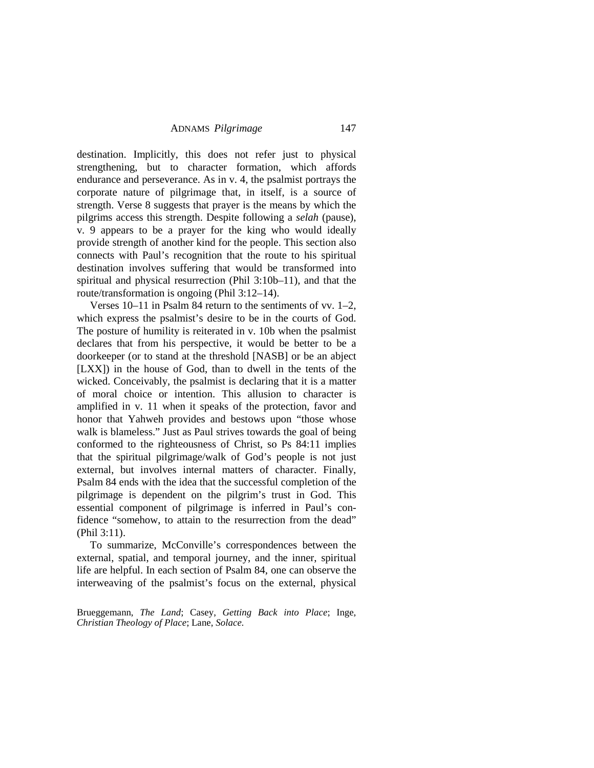destination. Implicitly, this does not refer just to physical strengthening, but to character formation, which affords endurance and perseverance. As in v. 4, the psalmist portrays the corporate nature of pilgrimage that, in itself, is a source of strength. Verse 8 suggests that prayer is the means by which the pilgrims access this strength. Despite following a *selah* (pause), v. 9 appears to be a prayer for the king who would ideally provide strength of another kind for the people. This section also connects with Paul's recognition that the route to his spiritual destination involves suffering that would be transformed into spiritual and physical resurrection (Phil 3:10b–11), and that the route/transformation is ongoing (Phil 3:12–14).

Verses 10–11 in Psalm 84 return to the sentiments of vv. 1–2, which express the psalmist's desire to be in the courts of God. The posture of humility is reiterated in v. 10b when the psalmist declares that from his perspective, it would be better to be a doorkeeper (or to stand at the threshold [NASB] or be an abject [LXX]) in the house of God, than to dwell in the tents of the wicked. Conceivably, the psalmist is declaring that it is a matter of moral choice or intention. This allusion to character is amplified in v. 11 when it speaks of the protection, favor and honor that Yahweh provides and bestows upon "those whose walk is blameless." Just as Paul strives towards the goal of being conformed to the righteousness of Christ, so Ps 84:11 implies that the spiritual pilgrimage/walk of God's people is not just external, but involves internal matters of character. Finally, Psalm 84 ends with the idea that the successful completion of the pilgrimage is dependent on the pilgrim's trust in God. This essential component of pilgrimage is inferred in Paul's confidence "somehow, to attain to the resurrection from the dead" (Phil 3:11).

To summarize, McConville's correspondences between the external, spatial, and temporal journey, and the inner, spiritual life are helpful. In each section of Psalm 84, one can observe the interweaving of the psalmist's focus on the external, physical

Brueggemann, *The Land*; Casey, *Getting Back into Place*; Inge, *Christian Theology of Place*; Lane, *Solace.*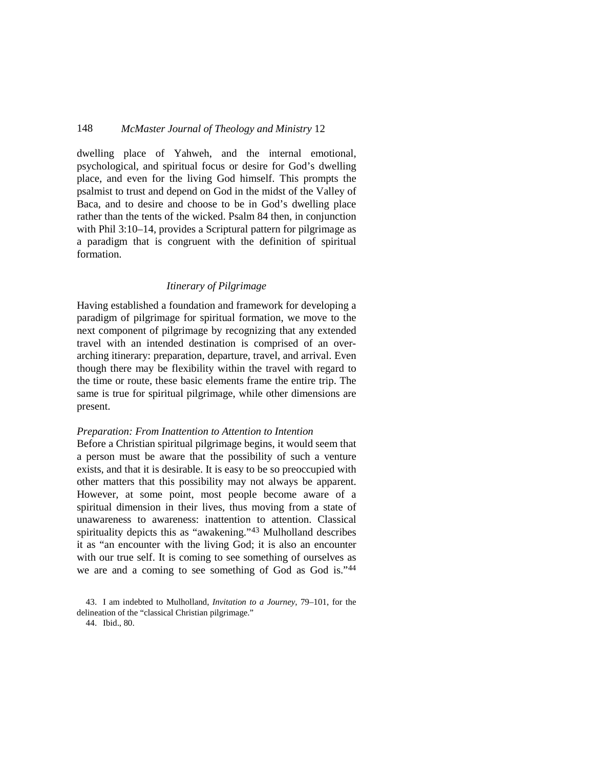dwelling place of Yahweh, and the internal emotional, psychological, and spiritual focus or desire for God's dwelling place, and even for the living God himself. This prompts the psalmist to trust and depend on God in the midst of the Valley of Baca, and to desire and choose to be in God's dwelling place rather than the tents of the wicked. Psalm 84 then, in conjunction with Phil 3:10–14, provides a Scriptural pattern for pilgrimage as a paradigm that is congruent with the definition of spiritual formation.

#### *Itinerary of Pilgrimage*

Having established a foundation and framework for developing a paradigm of pilgrimage for spiritual formation, we move to the next component of pilgrimage by recognizing that any extended travel with an intended destination is comprised of an overarching itinerary: preparation, departure, travel, and arrival. Even though there may be flexibility within the travel with regard to the time or route, these basic elements frame the entire trip. The same is true for spiritual pilgrimage, while other dimensions are present.

#### *Preparation: From Inattention to Attention to Intention*

Before a Christian spiritual pilgrimage begins, it would seem that a person must be aware that the possibility of such a venture exists, and that it is desirable. It is easy to be so preoccupied with other matters that this possibility may not always be apparent. However, at some point, most people become aware of a spiritual dimension in their lives, thus moving from a state of unawareness to awareness: inattention to attention. Classical spirituality depicts this as "awakening."[43](#page-16-0) Mulholland describes it as "an encounter with the living God; it is also an encounter with our true self. It is coming to see something of ourselves as we are and a coming to see something of God as God is."[44](#page-16-1)

44. Ibid., 80.

<span id="page-16-1"></span><span id="page-16-0"></span><sup>43.</sup> I am indebted to Mulholland, *Invitation to a Journey*, 79–101, for the delineation of the "classical Christian pilgrimage."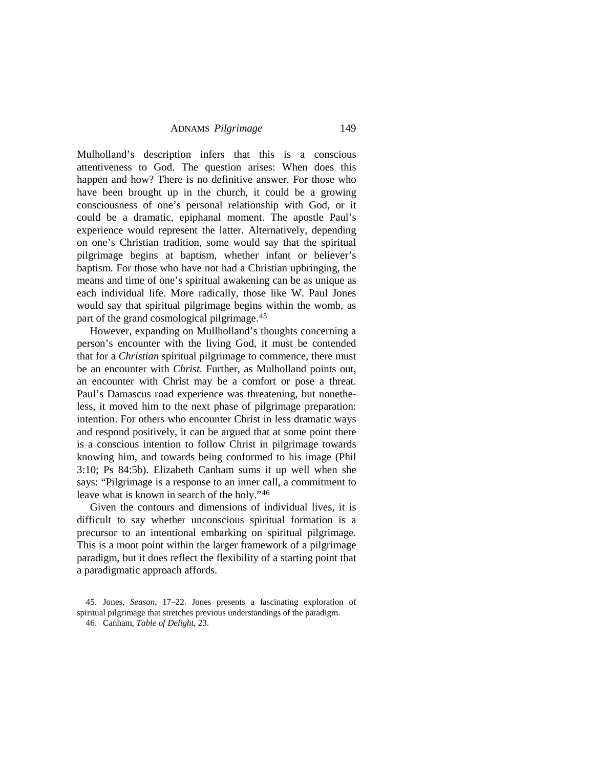Mulholland's description infers that this is a conscious attentiveness to God. The question arises: When does this happen and how? There is no definitive answer. For those who have been brought up in the church, it could be a growing consciousness of one's personal relationship with God, or it could be a dramatic, epiphanal moment. The apostle Paul's experience would represent the latter. Alternatively, depending on one's Christian tradition, some would say that the spiritual pilgrimage begins at baptism, whether infant or believer's baptism. For those who have not had a Christian upbringing, the means and time of one's spiritual awakening can be as unique as each individual life. More radically, those like W. Paul Jones would say that spiritual pilgrimage begins within the womb, as part of the grand cosmological pilgrimage.[45](#page-17-0)

However, expanding on Mullholland's thoughts concerning a person's encounter with the living God, it must be contended that for a *Christian* spiritual pilgrimage to commence, there must be an encounter with *Christ*. Further, as Mulholland points out, an encounter with Christ may be a comfort or pose a threat. Paul's Damascus road experience was threatening, but nonetheless, it moved him to the next phase of pilgrimage preparation: intention. For others who encounter Christ in less dramatic ways and respond positively, it can be argued that at some point there is a conscious intention to follow Christ in pilgrimage towards knowing him, and towards being conformed to his image (Phil 3:10; Ps 84:5b). Elizabeth Canham sums it up well when she says: "Pilgrimage is a response to an inner call, a commitment to leave what is known in search of the holy."[46](#page-17-1)

Given the contours and dimensions of individual lives, it is difficult to say whether unconscious spiritual formation is a precursor to an intentional embarking on spiritual pilgrimage. This is a moot point within the larger framework of a pilgrimage paradigm, but it does reflect the flexibility of a starting point that a paradigmatic approach affords.

<span id="page-17-1"></span><span id="page-17-0"></span><sup>45.</sup> Jones, *Season*, 17–22. Jones presents a fascinating exploration of spiritual pilgrimage that stretches previous understandings of the paradigm.

<sup>46.</sup> Canham, *Table of Delight*, 23.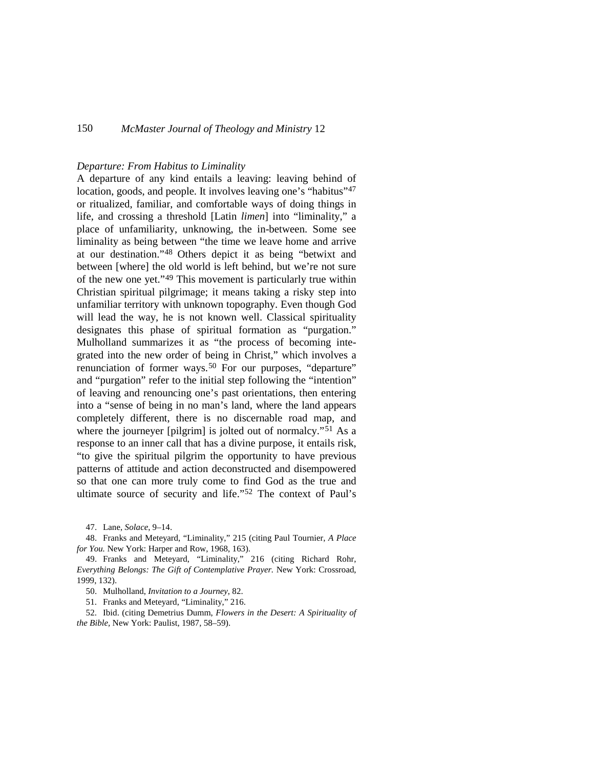#### *Departure: From Habitus to Liminality*

A departure of any kind entails a leaving: leaving behind of location, goods, and people. It involves leaving one's "habitus"<sup>[47](#page-18-0)</sup> or ritualized, familiar, and comfortable ways of doing things in life, and crossing a threshold [Latin *limen*] into "liminality," a place of unfamiliarity, unknowing, the in-between. Some see liminality as being between "the time we leave home and arrive at our destination."[48](#page-18-1) Others depict it as being "betwixt and between [where] the old world is left behind, but we're not sure of the new one yet."[49](#page-18-2) This movement is particularly true within Christian spiritual pilgrimage; it means taking a risky step into unfamiliar territory with unknown topography. Even though God will lead the way, he is not known well. Classical spirituality designates this phase of spiritual formation as "purgation." Mulholland summarizes it as "the process of becoming integrated into the new order of being in Christ," which involves a renunciation of former ways.<sup>[50](#page-18-3)</sup> For our purposes, "departure" and "purgation" refer to the initial step following the "intention" of leaving and renouncing one's past orientations, then entering into a "sense of being in no man's land, where the land appears completely different, there is no discernable road map, and where the journeyer [pilgrim] is jolted out of normalcy."<sup>[51](#page-18-4)</sup> As a response to an inner call that has a divine purpose, it entails risk, "to give the spiritual pilgrim the opportunity to have previous patterns of attitude and action deconstructed and disempowered so that one can more truly come to find God as the true and ultimate source of security and life.["52](#page-18-5) The context of Paul's

47. Lane, *Solace*, 9–14.

<span id="page-18-1"></span><span id="page-18-0"></span>48. Franks and Meteyard, "Liminality," 215 (citing Paul Tournier, *A Place for You.* New York: Harper and Row, 1968, 163).

<span id="page-18-2"></span>49. Franks and Meteyard, "Liminality," 216 (citing Richard Rohr, *Everything Belongs: The Gift of Contemplative Prayer.* New York: Crossroad, 1999, 132).

50. Mulholland, *Invitation to a Journey*, 82.

51. Franks and Meteyard, "Liminality," 216.

<span id="page-18-5"></span><span id="page-18-4"></span><span id="page-18-3"></span>52. Ibid. (citing Demetrius Dumm, *Flowers in the Desert: A Spirituality of the Bible,* New York: Paulist, 1987, 58–59).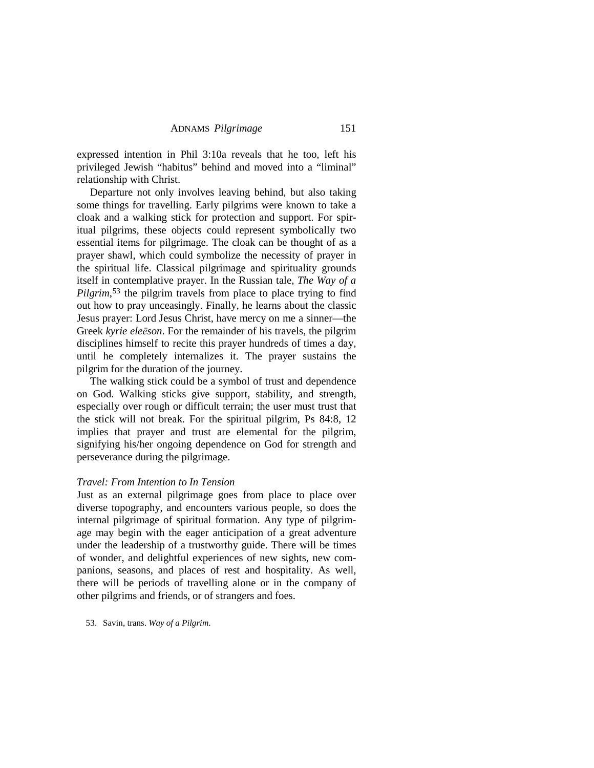expressed intention in Phil 3:10a reveals that he too, left his privileged Jewish "habitus" behind and moved into a "liminal" relationship with Christ.

Departure not only involves leaving behind, but also taking some things for travelling. Early pilgrims were known to take a cloak and a walking stick for protection and support. For spiritual pilgrims, these objects could represent symbolically two essential items for pilgrimage. The cloak can be thought of as a prayer shawl, which could symbolize the necessity of prayer in the spiritual life. Classical pilgrimage and spirituality grounds itself in contemplative prayer. In the Russian tale, *The Way of a*  Pilgrim,<sup>[53](#page-19-0)</sup> the pilgrim travels from place to place trying to find out how to pray unceasingly. Finally, he learns about the classic Jesus prayer: Lord Jesus Christ, have mercy on me a sinner—the Greek *kyrie eleēson*. For the remainder of his travels, the pilgrim disciplines himself to recite this prayer hundreds of times a day, until he completely internalizes it. The prayer sustains the pilgrim for the duration of the journey.

The walking stick could be a symbol of trust and dependence on God. Walking sticks give support, stability, and strength, especially over rough or difficult terrain; the user must trust that the stick will not break. For the spiritual pilgrim, Ps 84:8, 12 implies that prayer and trust are elemental for the pilgrim, signifying his/her ongoing dependence on God for strength and perseverance during the pilgrimage.

#### *Travel: From Intention to In Tension*

Just as an external pilgrimage goes from place to place over diverse topography, and encounters various people, so does the internal pilgrimage of spiritual formation. Any type of pilgrimage may begin with the eager anticipation of a great adventure under the leadership of a trustworthy guide. There will be times of wonder, and delightful experiences of new sights, new companions, seasons, and places of rest and hospitality. As well, there will be periods of travelling alone or in the company of other pilgrims and friends, or of strangers and foes.

<span id="page-19-0"></span>53. Savin, trans. *Way of a Pilgrim*.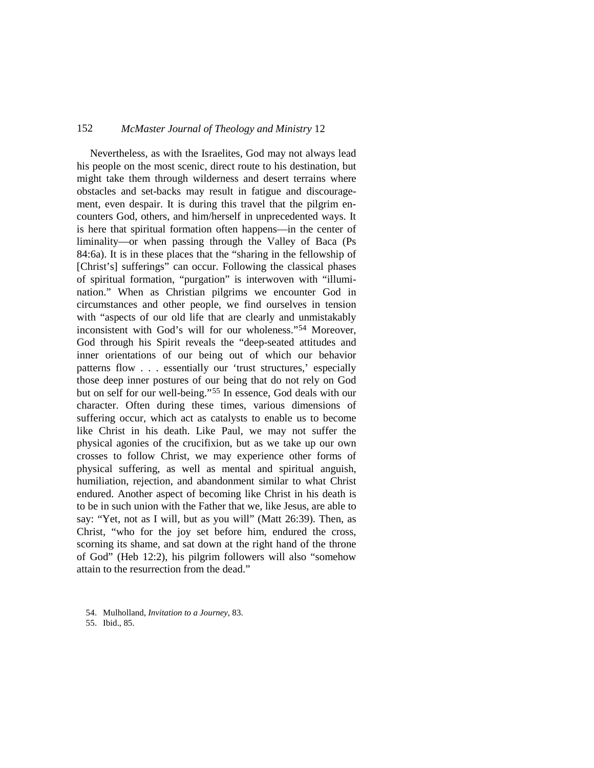Nevertheless, as with the Israelites, God may not always lead his people on the most scenic, direct route to his destination, but might take them through wilderness and desert terrains where obstacles and set-backs may result in fatigue and discouragement, even despair. It is during this travel that the pilgrim encounters God, others, and him/herself in unprecedented ways. It is here that spiritual formation often happens—in the center of liminality—or when passing through the Valley of Baca (Ps 84:6a). It is in these places that the "sharing in the fellowship of [Christ's] sufferings" can occur. Following the classical phases of spiritual formation, "purgation" is interwoven with "illumination." When as Christian pilgrims we encounter God in circumstances and other people, we find ourselves in tension with "aspects of our old life that are clearly and unmistakably inconsistent with God's will for our wholeness."[54](#page-20-0) Moreover, God through his Spirit reveals the "deep-seated attitudes and inner orientations of our being out of which our behavior patterns flow . . . essentially our 'trust structures,' especially those deep inner postures of our being that do not rely on God but on self for our well-being."[55](#page-20-1) In essence, God deals with our character. Often during these times, various dimensions of suffering occur, which act as catalysts to enable us to become like Christ in his death. Like Paul, we may not suffer the physical agonies of the crucifixion, but as we take up our own crosses to follow Christ, we may experience other forms of physical suffering, as well as mental and spiritual anguish, humiliation, rejection, and abandonment similar to what Christ endured. Another aspect of becoming like Christ in his death is to be in such union with the Father that we, like Jesus, are able to say: "Yet, not as I will, but as you will" (Matt 26:39). Then, as Christ, "who for the joy set before him, endured the cross, scorning its shame, and sat down at the right hand of the throne of God" (Heb 12:2), his pilgrim followers will also "somehow attain to the resurrection from the dead."

<span id="page-20-0"></span><sup>54.</sup> Mulholland, *Invitation to a Journey*, 83.

<span id="page-20-1"></span><sup>55.</sup> Ibid., 85.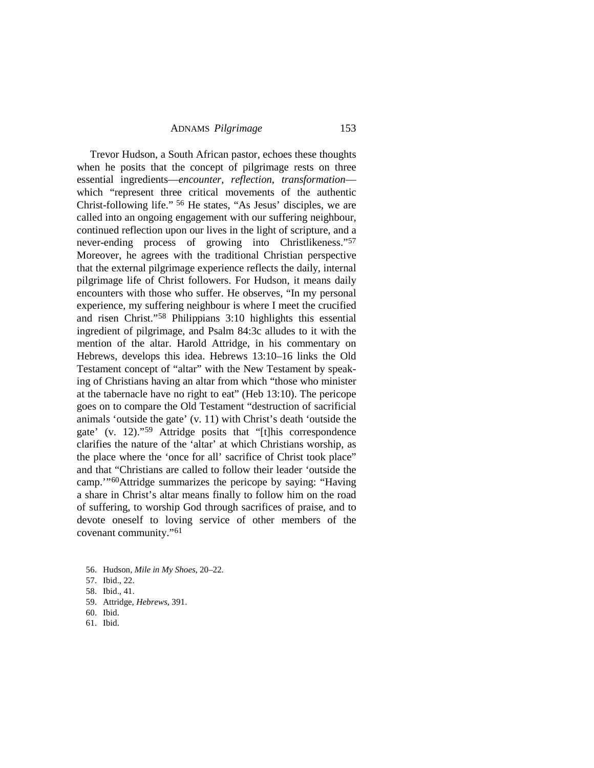Trevor Hudson, a South African pastor, echoes these thoughts when he posits that the concept of pilgrimage rests on three essential ingredients—*encounter*, *reflection*, *transformation* which "represent three critical movements of the authentic Christ-following life." [56](#page-21-0) He states, "As Jesus' disciples, we are called into an ongoing engagement with our suffering neighbour, continued reflection upon our lives in the light of scripture, and a never-ending process of growing into Christlikeness."<sup>[57](#page-21-1)</sup> Moreover, he agrees with the traditional Christian perspective that the external pilgrimage experience reflects the daily, internal pilgrimage life of Christ followers. For Hudson, it means daily encounters with those who suffer. He observes, "In my personal experience, my suffering neighbour is where I meet the crucified and risen Christ."[58](#page-21-2) Philippians 3:10 highlights this essential ingredient of pilgrimage, and Psalm 84:3c alludes to it with the mention of the altar. Harold Attridge, in his commentary on Hebrews, develops this idea. Hebrews 13:10–16 links the Old Testament concept of "altar" with the New Testament by speaking of Christians having an altar from which "those who minister at the tabernacle have no right to eat" (Heb 13:10). The pericope goes on to compare the Old Testament "destruction of sacrificial animals 'outside the gate' (v. 11) with Christ's death 'outside the gate' (v. 12).["59](#page-21-3) Attridge posits that "[t]his correspondence clarifies the nature of the 'altar' at which Christians worship, as the place where the 'once for all' sacrifice of Christ took place" and that "Christians are called to follow their leader 'outside the camp.'"[60](#page-21-4)Attridge summarizes the pericope by saying: "Having a share in Christ's altar means finally to follow him on the road of suffering, to worship God through sacrifices of praise, and to devote oneself to loving service of other members of the covenant community."[61](#page-21-5)

- <span id="page-21-3"></span>59. Attridge, *Hebrews*, 391.
- <span id="page-21-4"></span>60. Ibid.
- <span id="page-21-5"></span>61. Ibid.

<span id="page-21-1"></span><span id="page-21-0"></span><sup>56.</sup> Hudson, *Mile in My Shoes*, 20–22.

<sup>57.</sup> Ibid., 22.

<span id="page-21-2"></span><sup>58.</sup> Ibid., 41.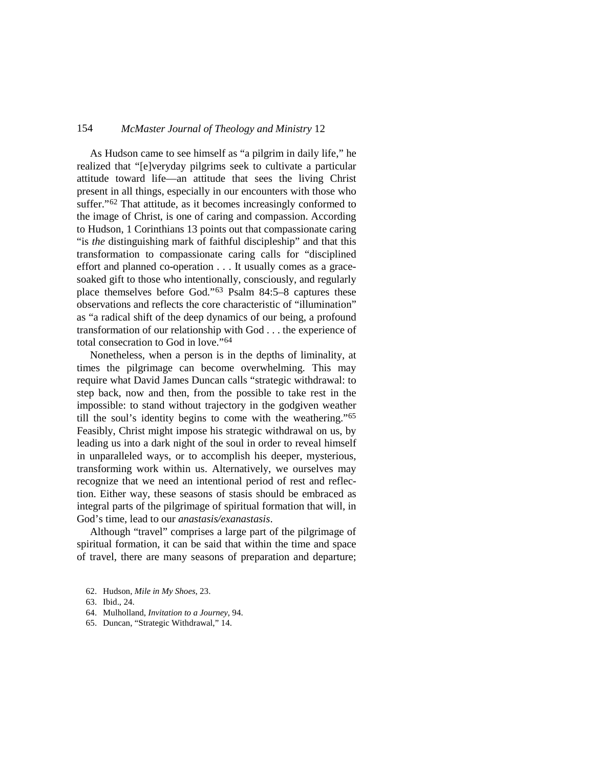As Hudson came to see himself as "a pilgrim in daily life," he realized that "[e]veryday pilgrims seek to cultivate a particular attitude toward life—an attitude that sees the living Christ present in all things, especially in our encounters with those who suffer."[62](#page-22-0) That attitude, as it becomes increasingly conformed to the image of Christ, is one of caring and compassion. According to Hudson, 1 Corinthians 13 points out that compassionate caring "is *the* distinguishing mark of faithful discipleship" and that this transformation to compassionate caring calls for "disciplined effort and planned co-operation . . . It usually comes as a gracesoaked gift to those who intentionally, consciously, and regularly place themselves before God."[63](#page-22-1) Psalm 84:5–8 captures these observations and reflects the core characteristic of "illumination" as "a radical shift of the deep dynamics of our being, a profound transformation of our relationship with God . . . the experience of total consecration to God in love."[64](#page-22-2)

Nonetheless, when a person is in the depths of liminality, at times the pilgrimage can become overwhelming. This may require what David James Duncan calls "strategic withdrawal: to step back, now and then, from the possible to take rest in the impossible: to stand without trajectory in the godgiven weather till the soul's identity begins to come with the weathering."[65](#page-22-3) Feasibly, Christ might impose his strategic withdrawal on us, by leading us into a dark night of the soul in order to reveal himself in unparalleled ways, or to accomplish his deeper, mysterious, transforming work within us. Alternatively, we ourselves may recognize that we need an intentional period of rest and reflection. Either way, these seasons of stasis should be embraced as integral parts of the pilgrimage of spiritual formation that will, in God's time, lead to our *anastasis/exanastasis*.

Although "travel" comprises a large part of the pilgrimage of spiritual formation, it can be said that within the time and space of travel, there are many seasons of preparation and departure;

- <span id="page-22-2"></span>64. Mulholland, *Invitation to a Journey*, 94.
- <span id="page-22-3"></span>65. Duncan, "Strategic Withdrawal," 14.

<span id="page-22-0"></span><sup>62.</sup> Hudson, *Mile in My Shoes*, 23.

<span id="page-22-1"></span><sup>63.</sup> Ibid., 24.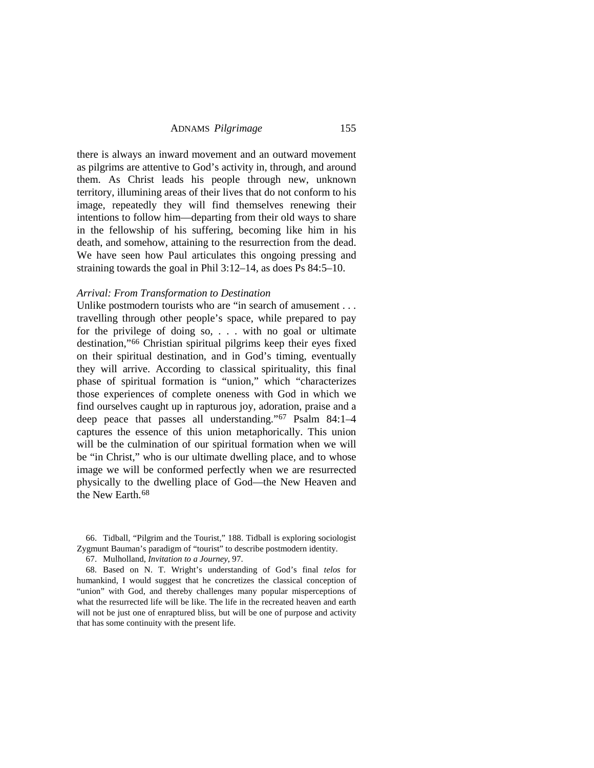there is always an inward movement and an outward movement as pilgrims are attentive to God's activity in, through, and around them. As Christ leads his people through new, unknown territory, illumining areas of their lives that do not conform to his image, repeatedly they will find themselves renewing their intentions to follow him—departing from their old ways to share in the fellowship of his suffering, becoming like him in his death, and somehow, attaining to the resurrection from the dead. We have seen how Paul articulates this ongoing pressing and straining towards the goal in Phil 3:12–14, as does Ps 84:5–10.

#### *Arrival: From Transformation to Destination*

Unlike postmodern tourists who are "in search of amusement . . . travelling through other people's space, while prepared to pay for the privilege of doing so, . . . with no goal or ultimate destination,"[66](#page-23-0) Christian spiritual pilgrims keep their eyes fixed on their spiritual destination, and in God's timing, eventually they will arrive. According to classical spirituality, this final phase of spiritual formation is "union," which "characterizes those experiences of complete oneness with God in which we find ourselves caught up in rapturous joy, adoration, praise and a deep peace that passes all understanding."[67](#page-23-1) Psalm 84:1–4 captures the essence of this union metaphorically. This union will be the culmination of our spiritual formation when we will be "in Christ," who is our ultimate dwelling place, and to whose image we will be conformed perfectly when we are resurrected physically to the dwelling place of God—the New Heaven and the New Earth.<sup>[68](#page-23-2)</sup>

<span id="page-23-0"></span>66. Tidball, "Pilgrim and the Tourist," 188. Tidball is exploring sociologist Zygmunt Bauman's paradigm of "tourist" to describe postmodern identity.

67. Mulholland, *Invitation to a Journey*, 97.

<span id="page-23-2"></span><span id="page-23-1"></span>68. Based on N. T. Wright's understanding of God's final *telos* for humankind, I would suggest that he concretizes the classical conception of "union" with God, and thereby challenges many popular misperceptions of what the resurrected life will be like. The life in the recreated heaven and earth will not be just one of enraptured bliss, but will be one of purpose and activity that has some continuity with the present life.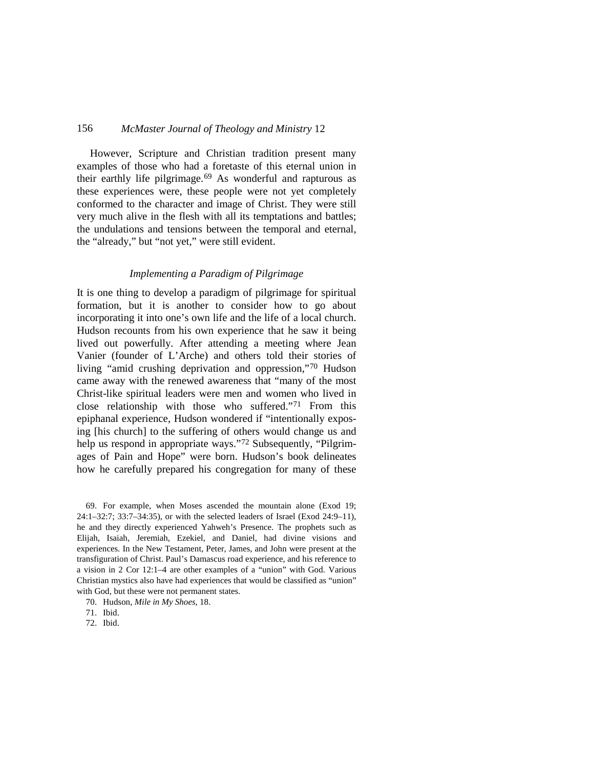However, Scripture and Christian tradition present many examples of those who had a foretaste of this eternal union in their earthly life pilgrimage.<sup>[69](#page-24-0)</sup> As wonderful and rapturous as these experiences were, these people were not yet completely conformed to the character and image of Christ. They were still very much alive in the flesh with all its temptations and battles; the undulations and tensions between the temporal and eternal, the "already," but "not yet," were still evident.

### *Implementing a Paradigm of Pilgrimage*

It is one thing to develop a paradigm of pilgrimage for spiritual formation, but it is another to consider how to go about incorporating it into one's own life and the life of a local church. Hudson recounts from his own experience that he saw it being lived out powerfully. After attending a meeting where Jean Vanier (founder of L'Arche) and others told their stories of living "amid crushing deprivation and oppression,["70](#page-24-1) Hudson came away with the renewed awareness that "many of the most Christ-like spiritual leaders were men and women who lived in close relationship with those who suffered."[71](#page-24-2) From this epiphanal experience, Hudson wondered if "intentionally exposing [his church] to the suffering of others would change us and help us respond in appropriate ways."<sup>[72](#page-24-3)</sup> Subsequently, "Pilgrimages of Pain and Hope" were born. Hudson's book delineates how he carefully prepared his congregation for many of these

<span id="page-24-0"></span>69. For example, when Moses ascended the mountain alone (Exod 19; 24:1–32:7; 33:7–34:35), or with the selected leaders of Israel (Exod 24:9–11), he and they directly experienced Yahweh's Presence. The prophets such as Elijah, Isaiah, Jeremiah, Ezekiel, and Daniel, had divine visions and experiences. In the New Testament, Peter, James, and John were present at the transfiguration of Christ. Paul's Damascus road experience, and his reference to a vision in 2 Cor 12:1–4 are other examples of a "union" with God. Various Christian mystics also have had experiences that would be classified as "union" with God, but these were not permanent states.

<span id="page-24-1"></span>70. Hudson, *Mile in My Shoes*, 18.

<span id="page-24-2"></span>71. Ibid.

<span id="page-24-3"></span>72. Ibid.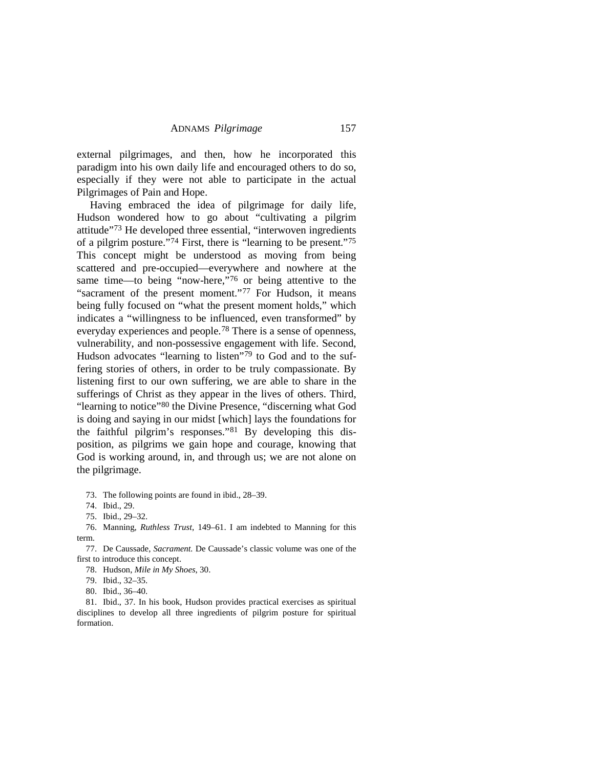external pilgrimages, and then, how he incorporated this paradigm into his own daily life and encouraged others to do so, especially if they were not able to participate in the actual Pilgrimages of Pain and Hope.

Having embraced the idea of pilgrimage for daily life, Hudson wondered how to go about "cultivating a pilgrim attitude"[73](#page-25-0) He developed three essential, "interwoven ingredients of a pilgrim posture."[74](#page-25-1) First, there is "learning to be present."[75](#page-25-2) This concept might be understood as moving from being scattered and pre-occupied—everywhere and nowhere at the same time—to being "now-here,"[76](#page-25-3) or being attentive to the "sacrament of the present moment."<sup>[77](#page-25-4)</sup> For Hudson, it means being fully focused on "what the present moment holds," which indicates a "willingness to be influenced, even transformed" by everyday experiences and people.[78](#page-25-5) There is a sense of openness, vulnerability, and non-possessive engagement with life. Second, Hudson advocates "learning to listen"[79](#page-25-6) to God and to the suffering stories of others, in order to be truly compassionate. By listening first to our own suffering, we are able to share in the sufferings of Christ as they appear in the lives of others. Third, "learning to notice["80](#page-25-7) the Divine Presence, "discerning what God is doing and saying in our midst [which] lays the foundations for the faithful pilgrim's responses."[81](#page-25-8) By developing this disposition, as pilgrims we gain hope and courage, knowing that God is working around, in, and through us; we are not alone on the pilgrimage.

73. The following points are found in ibid., 28–39.

<span id="page-25-3"></span><span id="page-25-2"></span><span id="page-25-1"></span><span id="page-25-0"></span>76. Manning, *Ruthless Trust*, 149–61. I am indebted to Manning for this term.

<span id="page-25-5"></span><span id="page-25-4"></span>77. De Caussade, *Sacrament.* De Caussade's classic volume was one of the first to introduce this concept.

78. Hudson, *Mile in My Shoes*, 30.

79. Ibid., 32–35.

80. Ibid., 36–40.

<span id="page-25-8"></span><span id="page-25-7"></span><span id="page-25-6"></span>81. Ibid., 37. In his book, Hudson provides practical exercises as spiritual disciplines to develop all three ingredients of pilgrim posture for spiritual formation.

<sup>74.</sup> Ibid., 29.

<sup>75.</sup> Ibid., 29–32.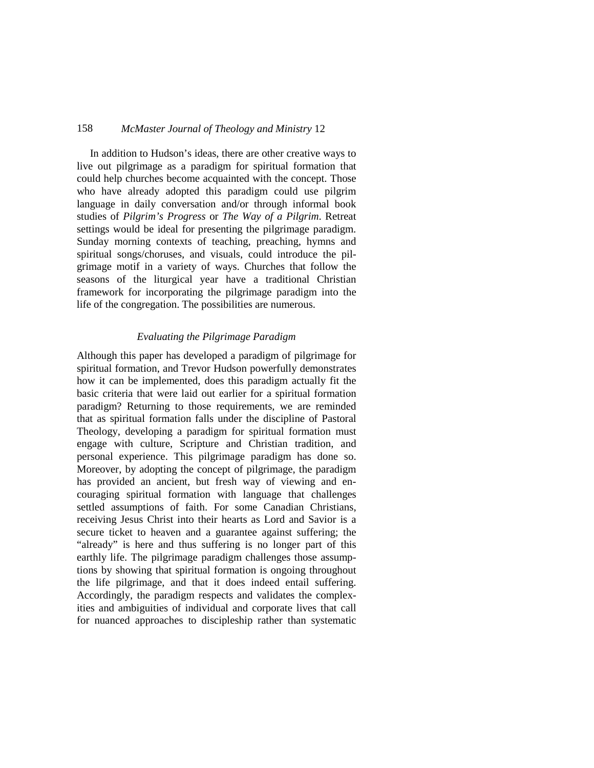In addition to Hudson's ideas, there are other creative ways to live out pilgrimage as a paradigm for spiritual formation that could help churches become acquainted with the concept. Those who have already adopted this paradigm could use pilgrim language in daily conversation and/or through informal book studies of *Pilgrim's Progress* or *The Way of a Pilgrim*. Retreat settings would be ideal for presenting the pilgrimage paradigm. Sunday morning contexts of teaching, preaching, hymns and spiritual songs/choruses, and visuals, could introduce the pilgrimage motif in a variety of ways. Churches that follow the seasons of the liturgical year have a traditional Christian framework for incorporating the pilgrimage paradigm into the life of the congregation. The possibilities are numerous.

# *Evaluating the Pilgrimage Paradigm*

Although this paper has developed a paradigm of pilgrimage for spiritual formation, and Trevor Hudson powerfully demonstrates how it can be implemented, does this paradigm actually fit the basic criteria that were laid out earlier for a spiritual formation paradigm? Returning to those requirements, we are reminded that as spiritual formation falls under the discipline of Pastoral Theology, developing a paradigm for spiritual formation must engage with culture, Scripture and Christian tradition, and personal experience. This pilgrimage paradigm has done so. Moreover, by adopting the concept of pilgrimage, the paradigm has provided an ancient, but fresh way of viewing and encouraging spiritual formation with language that challenges settled assumptions of faith. For some Canadian Christians, receiving Jesus Christ into their hearts as Lord and Savior is a secure ticket to heaven and a guarantee against suffering; the "already" is here and thus suffering is no longer part of this earthly life. The pilgrimage paradigm challenges those assumptions by showing that spiritual formation is ongoing throughout the life pilgrimage, and that it does indeed entail suffering. Accordingly, the paradigm respects and validates the complexities and ambiguities of individual and corporate lives that call for nuanced approaches to discipleship rather than systematic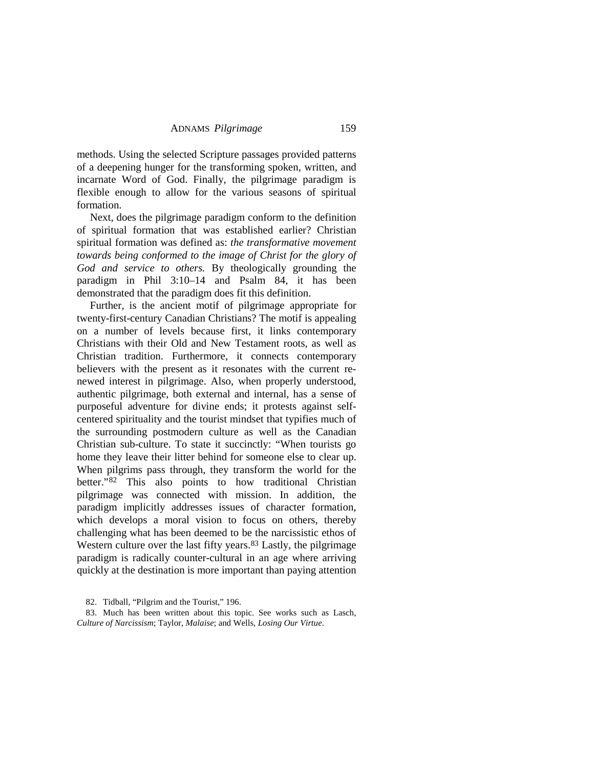methods. Using the selected Scripture passages provided patterns of a deepening hunger for the transforming spoken, written, and incarnate Word of God. Finally, the pilgrimage paradigm is flexible enough to allow for the various seasons of spiritual formation.

Next, does the pilgrimage paradigm conform to the definition of spiritual formation that was established earlier? Christian spiritual formation was defined as: *the transformative movement towards being conformed to the image of Christ for the glory of God and service to others.* By theologically grounding the paradigm in Phil 3:10–14 and Psalm 84, it has been demonstrated that the paradigm does fit this definition.

Further, is the ancient motif of pilgrimage appropriate for twenty-first-century Canadian Christians? The motif is appealing on a number of levels because first, it links contemporary Christians with their Old and New Testament roots, as well as Christian tradition. Furthermore, it connects contemporary believers with the present as it resonates with the current renewed interest in pilgrimage. Also, when properly understood, authentic pilgrimage, both external and internal, has a sense of purposeful adventure for divine ends; it protests against selfcentered spirituality and the tourist mindset that typifies much of the surrounding postmodern culture as well as the Canadian Christian sub-culture. To state it succinctly: "When tourists go home they leave their litter behind for someone else to clear up. When pilgrims pass through, they transform the world for the better."[82](#page-27-0) This also points to how traditional Christian pilgrimage was connected with mission. In addition, the paradigm implicitly addresses issues of character formation, which develops a moral vision to focus on others, thereby challenging what has been deemed to be the narcissistic ethos of Western culture over the last fifty years.<sup>[83](#page-27-1)</sup> Lastly, the pilgrimage paradigm is radically counter-cultural in an age where arriving quickly at the destination is more important than paying attention

<sup>82.</sup> Tidball, "Pilgrim and the Tourist," 196.

<span id="page-27-1"></span><span id="page-27-0"></span><sup>83.</sup> Much has been written about this topic. See works such as Lasch, *Culture of Narcissism*; Taylor, *Malaise*; and Wells, *Losing Our Virtue*.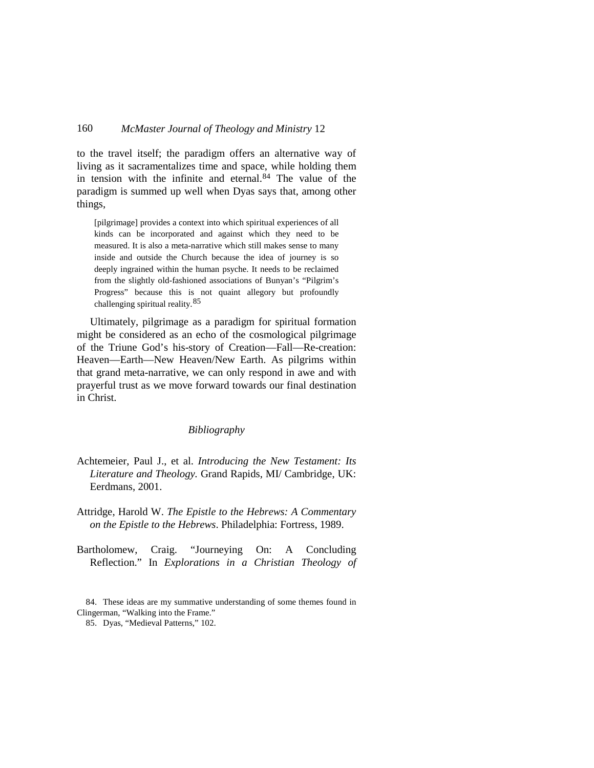to the travel itself; the paradigm offers an alternative way of living as it sacramentalizes time and space, while holding them in tension with the infinite and eternal.[84](#page-28-0) The value of the paradigm is summed up well when Dyas says that, among other things,

[pilgrimage] provides a context into which spiritual experiences of all kinds can be incorporated and against which they need to be measured. It is also a meta-narrative which still makes sense to many inside and outside the Church because the idea of journey is so deeply ingrained within the human psyche. It needs to be reclaimed from the slightly old-fashioned associations of Bunyan's "Pilgrim's Progress" because this is not quaint allegory but profoundly challenging spiritual reality. [85](#page-28-1)

Ultimately, pilgrimage as a paradigm for spiritual formation might be considered as an echo of the cosmological pilgrimage of the Triune God's his-story of Creation—Fall—Re-creation: Heaven—Earth—New Heaven/New Earth. As pilgrims within that grand meta-narrative, we can only respond in awe and with prayerful trust as we move forward towards our final destination in Christ.

#### *Bibliography*

- Achtemeier, Paul J., et al. *Introducing the New Testament: Its Literature and Theology.* Grand Rapids, MI/ Cambridge, UK: Eerdmans, 2001.
- Attridge, Harold W. *The Epistle to the Hebrews: A Commentary on the Epistle to the Hebrews*. Philadelphia: Fortress, 1989.
- Bartholomew, Craig. "Journeying On: A Concluding Reflection." In *Explorations in a Christian Theology of*

<span id="page-28-1"></span><span id="page-28-0"></span><sup>84.</sup> These ideas are my summative understanding of some themes found in Clingerman, "Walking into the Frame."

<sup>85.</sup> Dyas, "Medieval Patterns," 102.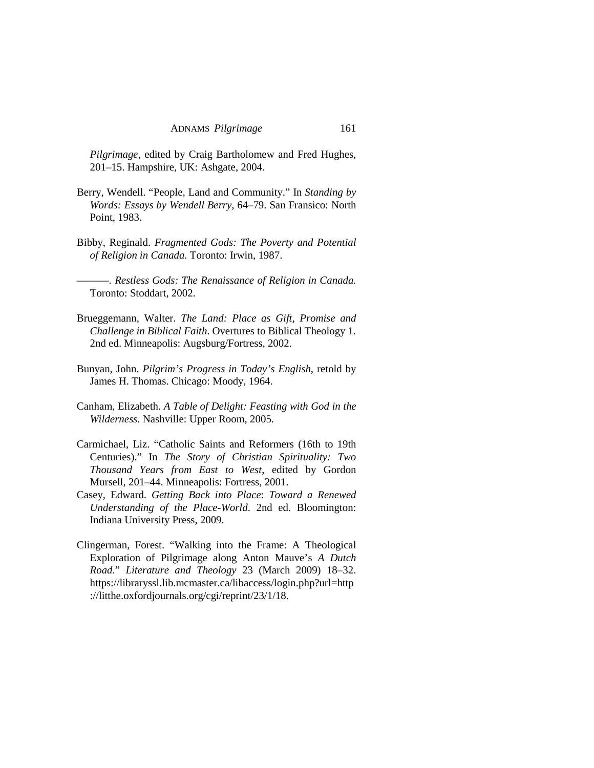*Pilgrimage*, edited by Craig Bartholomew and Fred Hughes, 201–15. Hampshire, UK: Ashgate, 2004.

- Berry, Wendell. "People, Land and Community." In *Standing by Words: Essays by Wendell Berry*, 64–79. San Fransico: North Point, 1983.
- Bibby, Reginald. *Fragmented Gods: The Poverty and Potential of Religion in Canada.* Toronto: Irwin, 1987.
- ———. *Restless Gods: The Renaissance of Religion in Canada.* Toronto: Stoddart, 2002.
- Brueggemann, Walter. *The Land: Place as Gift, Promise and Challenge in Biblical Faith*. Overtures to Biblical Theology 1. 2nd ed. Minneapolis: Augsburg/Fortress, 2002.
- Bunyan, John. *Pilgrim's Progress in Today's English*, retold by James H. Thomas. Chicago: Moody, 1964.
- Canham, Elizabeth. *A Table of Delight: Feasting with God in the Wilderness*. Nashville: Upper Room, 2005.
- Carmichael, Liz. "Catholic Saints and Reformers (16th to 19th Centuries)." In *The Story of Christian Spirituality: Two Thousand Years from East to West*, edited by Gordon Mursell, 201–44. Minneapolis: Fortress, 2001.
- Casey, Edward. *Getting Back into Place*: *Toward a Renewed Understanding of the Place-World*. 2nd ed. Bloomington: Indiana University Press, 2009.
- Clingerman, Forest. "Walking into the Frame: A Theological Exploration of Pilgrimage along Anton Mauve's *A Dutch Road.*" *Literature and Theology* 23 (March 2009) 18–32. https://libraryssl.lib.mcmaster.ca/libaccess/login.php?url=http ://litthe.oxfordjournals.org/cgi/reprint/23/1/18.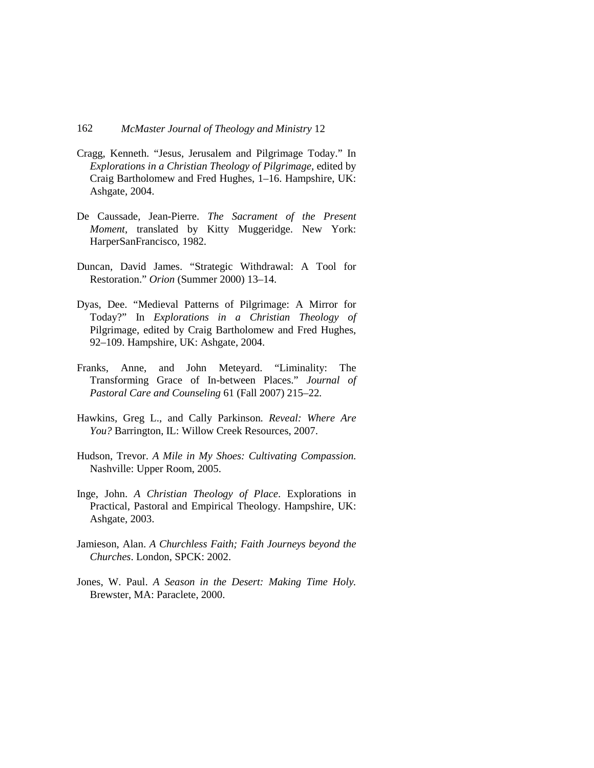- Cragg, Kenneth. "Jesus, Jerusalem and Pilgrimage Today." In *Explorations in a Christian Theology of Pilgrimage*, edited by Craig Bartholomew and Fred Hughes, 1–16. Hampshire, UK: Ashgate, 2004.
- De Caussade, Jean-Pierre. *The Sacrament of the Present Moment*, translated by Kitty Muggeridge. New York: HarperSanFrancisco, 1982.
- Duncan, David James. "Strategic Withdrawal: A Tool for Restoration." *Orion* (Summer 2000) 13–14.
- Dyas, Dee. "Medieval Patterns of Pilgrimage: A Mirror for Today?" In *Explorations in a Christian Theology of*  Pilgrimage, edited by Craig Bartholomew and Fred Hughes, 92–109. Hampshire, UK: Ashgate, 2004.
- Franks, Anne, and John Meteyard. "Liminality: The Transforming Grace of In-between Places." *Journal of Pastoral Care and Counseling* 61 (Fall 2007) 215–22.
- Hawkins, Greg L., and Cally Parkinson. *Reveal: Where Are You?* Barrington, IL: Willow Creek Resources, 2007.
- Hudson, Trevor. *A Mile in My Shoes: Cultivating Compassion.*  Nashville: Upper Room, 2005.
- Inge, John. *A Christian Theology of Place*. Explorations in Practical, Pastoral and Empirical Theology. Hampshire, UK: Ashgate, 2003.
- Jamieson, Alan. *A Churchless Faith; Faith Journeys beyond the Churches*. London, SPCK: 2002.
- Jones, W. Paul. *A Season in the Desert: Making Time Holy.*  Brewster, MA: Paraclete, 2000.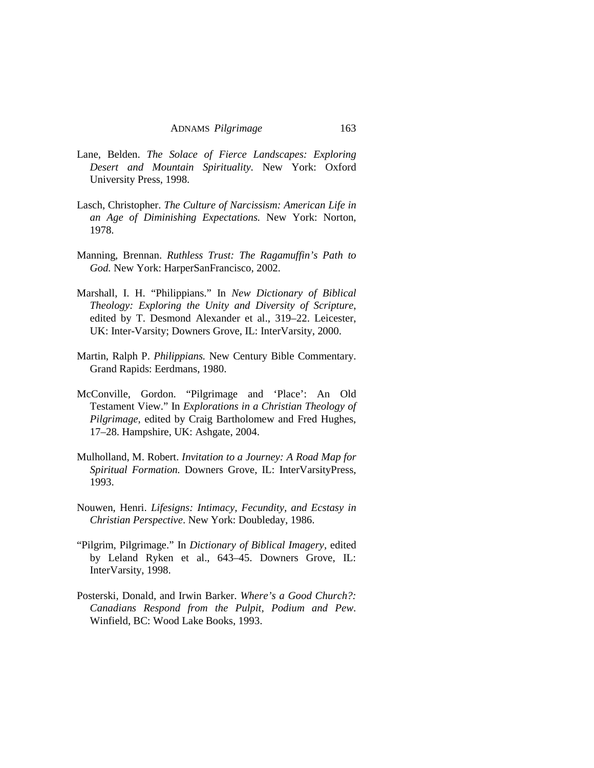- Lane, Belden. *The Solace of Fierce Landscapes: Exploring Desert and Mountain Spirituality.* New York: Oxford University Press, 1998.
- Lasch, Christopher. *The Culture of Narcissism: American Life in an Age of Diminishing Expectations.* New York: Norton, 1978.
- Manning, Brennan. *Ruthless Trust: The Ragamuffin's Path to God.* New York: HarperSanFrancisco, 2002.
- Marshall, I. H. "Philippians." In *New Dictionary of Biblical Theology: Exploring the Unity and Diversity of Scripture*, edited by T. Desmond Alexander et al., 319–22. Leicester, UK: Inter-Varsity; Downers Grove, IL: InterVarsity, 2000.
- Martin, Ralph P. *Philippians.* New Century Bible Commentary. Grand Rapids: Eerdmans, 1980.
- McConville, Gordon. "Pilgrimage and 'Place': An Old Testament View." In *Explorations in a Christian Theology of Pilgrimage*, edited by Craig Bartholomew and Fred Hughes, 17–28. Hampshire, UK: Ashgate, 2004.
- Mulholland, M. Robert. *Invitation to a Journey: A Road Map for Spiritual Formation.* Downers Grove, IL: InterVarsityPress, 1993.
- Nouwen, Henri. *Lifesigns: Intimacy, Fecundity, and Ecstasy in Christian Perspective*. New York: Doubleday, 1986.
- "Pilgrim, Pilgrimage." In *Dictionary of Biblical Imagery*, edited by Leland Ryken et al., 643–45. Downers Grove, IL: InterVarsity, 1998.
- Posterski, Donald, and Irwin Barker. *Where's a Good Church?: Canadians Respond from the Pulpit, Podium and Pew*. Winfield, BC: Wood Lake Books, 1993.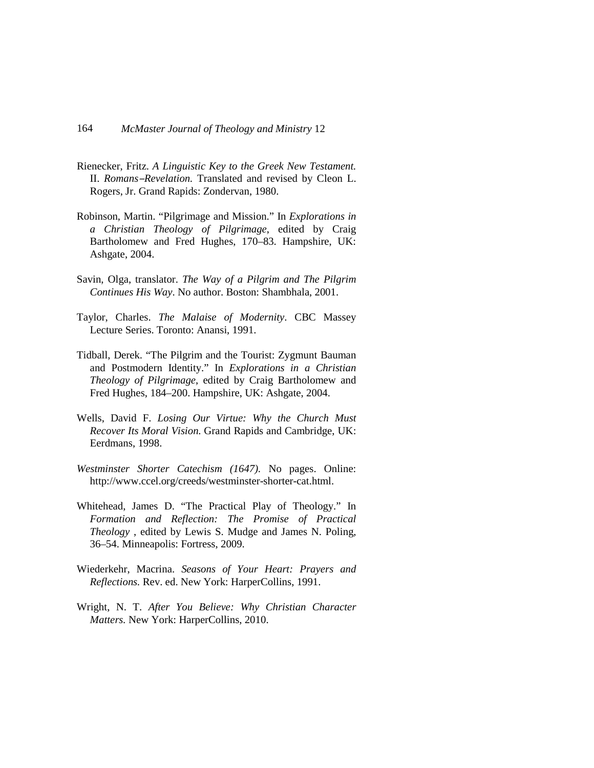- Rienecker, Fritz. *A Linguistic Key to the Greek New Testament.*  II. *Romans-Revelation*. Translated and revised by Cleon L. Rogers, Jr. Grand Rapids: Zondervan, 1980.
- Robinson, Martin. "Pilgrimage and Mission." In *Explorations in a Christian Theology of Pilgrimage*, edited by Craig Bartholomew and Fred Hughes, 170–83. Hampshire, UK: Ashgate, 2004.
- Savin, Olga, translator. *The Way of a Pilgrim and The Pilgrim Continues His Way*. No author. Boston: Shambhala, 2001.
- Taylor, Charles. *The Malaise of Modernity*. CBC Massey Lecture Series. Toronto: Anansi, 1991.
- Tidball, Derek. "The Pilgrim and the Tourist: Zygmunt Bauman and Postmodern Identity." In *Explorations in a Christian Theology of Pilgrimage*, edited by Craig Bartholomew and Fred Hughes, 184–200. Hampshire, UK: Ashgate, 2004.
- Wells, David F. *Losing Our Virtue: Why the Church Must Recover Its Moral Vision.* Grand Rapids and Cambridge, UK: Eerdmans, 1998.
- *Westminster Shorter Catechism (1647).* No pages. Online: http://www.ccel.org/creeds/westminster-shorter-cat.html.
- Whitehead, James D. "The Practical Play of Theology." In *Formation and Reflection: The Promise of Practical Theology* , edited by Lewis S. Mudge and James N. Poling, 36–54. Minneapolis: Fortress, 2009.
- Wiederkehr, Macrina. *Seasons of Your Heart: Prayers and Reflections.* Rev. ed. New York: HarperCollins, 1991.
- Wright, N. T. *After You Believe: Why Christian Character Matters.* New York: HarperCollins, 2010.